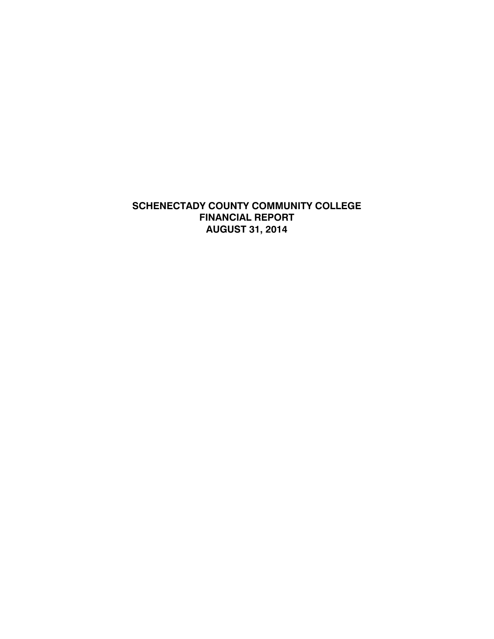# **SCHENECTADY COUNTY COMMUNITY COLLEGE FINANCIAL REPORT AUGUST 31, 2014**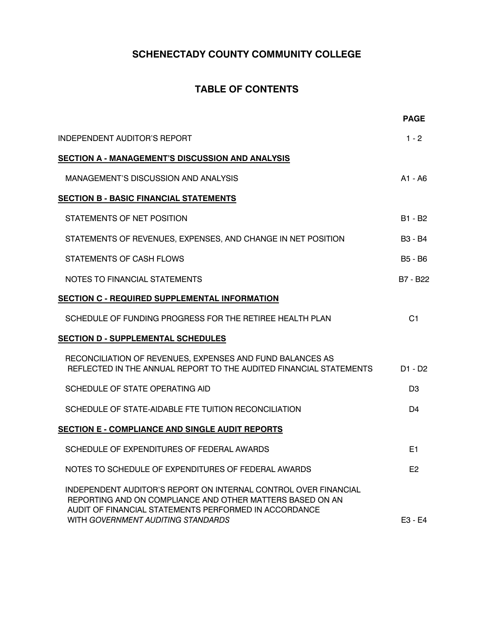# **SCHENECTADY COUNTY COMMUNITY COLLEGE**

# **TABLE OF CONTENTS**

|                                                                                                                                                                                       | <b>PAGE</b>                     |
|---------------------------------------------------------------------------------------------------------------------------------------------------------------------------------------|---------------------------------|
| <b>INDEPENDENT AUDITOR'S REPORT</b>                                                                                                                                                   | $1 - 2$                         |
| <b>SECTION A - MANAGEMENT'S DISCUSSION AND ANALYSIS</b>                                                                                                                               |                                 |
| MANAGEMENT'S DISCUSSION AND ANALYSIS                                                                                                                                                  | A1 - A6                         |
| <b>SECTION B - BASIC FINANCIAL STATEMENTS</b>                                                                                                                                         |                                 |
| STATEMENTS OF NET POSITION                                                                                                                                                            | B1 - B2                         |
| STATEMENTS OF REVENUES, EXPENSES, AND CHANGE IN NET POSITION                                                                                                                          | B3 - B4                         |
| STATEMENTS OF CASH FLOWS                                                                                                                                                              | B <sub>5</sub> - B <sub>6</sub> |
| NOTES TO FINANCIAL STATEMENTS                                                                                                                                                         | B7 - B <sub>22</sub>            |
| <b>SECTION C - REQUIRED SUPPLEMENTAL INFORMATION</b>                                                                                                                                  |                                 |
| SCHEDULE OF FUNDING PROGRESS FOR THE RETIREE HEALTH PLAN                                                                                                                              | C <sub>1</sub>                  |
| <b>SECTION D - SUPPLEMENTAL SCHEDULES</b>                                                                                                                                             |                                 |
| RECONCILIATION OF REVENUES, EXPENSES AND FUND BALANCES AS<br>REFLECTED IN THE ANNUAL REPORT TO THE AUDITED FINANCIAL STATEMENTS                                                       | D1 - D2                         |
| SCHEDULE OF STATE OPERATING AID                                                                                                                                                       | D <sub>3</sub>                  |
| SCHEDULE OF STATE-AIDABLE FTE TUITION RECONCILIATION                                                                                                                                  | D <sub>4</sub>                  |
| <b>SECTION E - COMPLIANCE AND SINGLE AUDIT REPORTS</b>                                                                                                                                |                                 |
| SCHEDULE OF EXPENDITURES OF FEDERAL AWARDS                                                                                                                                            | E <sub>1</sub>                  |
| NOTES TO SCHEDULE OF EXPENDITURES OF FEDERAL AWARDS                                                                                                                                   | E <sub>2</sub>                  |
| INDEPENDENT AUDITOR'S REPORT ON INTERNAL CONTROL OVER FINANCIAL<br>REPORTING AND ON COMPLIANCE AND OTHER MATTERS BASED ON AN<br>AUDIT OF FINANCIAL STATEMENTS PERFORMED IN ACCORDANCE |                                 |
| WITH GOVERNMENT AUDITING STANDARDS                                                                                                                                                    | E3 - E4                         |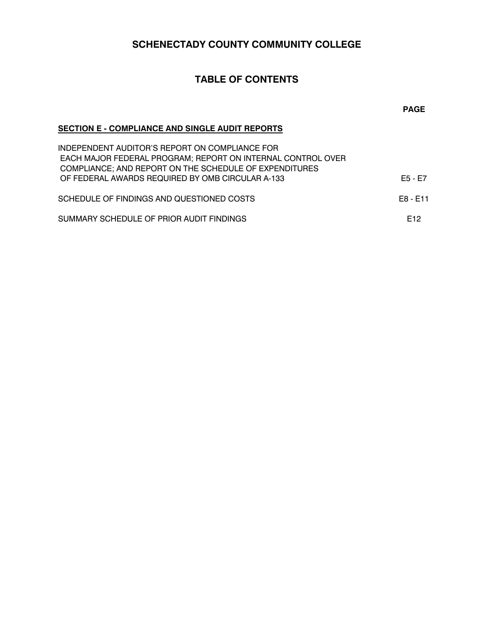# **SCHENECTADY COUNTY COMMUNITY COLLEGE**

# **TABLE OF CONTENTS**

|                                                                                                                                                                                                                             | <b>PAGE</b>     |
|-----------------------------------------------------------------------------------------------------------------------------------------------------------------------------------------------------------------------------|-----------------|
| <b>SECTION E - COMPLIANCE AND SINGLE AUDIT REPORTS</b>                                                                                                                                                                      |                 |
| INDEPENDENT AUDITOR'S REPORT ON COMPLIANCE FOR<br>EACH MAJOR FEDERAL PROGRAM; REPORT ON INTERNAL CONTROL OVER<br>COMPLIANCE; AND REPORT ON THE SCHEDULE OF EXPENDITURES<br>OF FEDERAL AWARDS REQUIRED BY OMB CIRCULAR A-133 | $F5 - F7$       |
| SCHEDULE OF FINDINGS AND QUESTIONED COSTS                                                                                                                                                                                   | $E8 - E11$      |
| SUMMARY SCHEDULE OF PRIOR AUDIT FINDINGS                                                                                                                                                                                    | F <sub>12</sub> |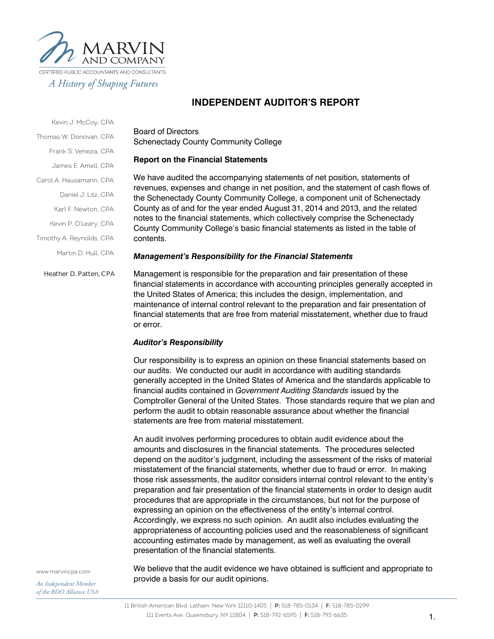

# **INDEPENDENT AUDITOR'S REPORT**

Kevin J. McCoy, CPA Thomas W. Donovan, CPA Frank S. Venezia, CPA James E. Amell, CPA Carol A. Hausamann, CPA Daniel J. Litz, CPA Karl F. Newton, CPA Kevin P. O'Leary, CPA Timothy A. Reynolds, CPA

Martin D. Hull, CPA

Heather D. Patten, CPA

Board of Directors Schenectady County Community College

#### **Report on the Financial Statements**

We have audited the accompanying statements of net position, statements of revenues, expenses and change in net position, and the statement of cash flows of the Schenectady County Community College, a component unit of Schenectady County as of and for the year ended August 31, 2014 and 2013, and the related notes to the financial statements, which collectively comprise the Schenectady County Community College's basic financial statements as listed in the table of contents.

#### *Management's Responsibility for the Financial Statements*

Management is responsible for the preparation and fair presentation of these financial statements in accordance with accounting principles generally accepted in the United States of America; this includes the design, implementation, and maintenance of internal control relevant to the preparation and fair presentation of financial statements that are free from material misstatement, whether due to fraud or error.

#### *Auditor's Responsibility*

Our responsibility is to express an opinion on these financial statements based on our audits. We conducted our audit in accordance with auditing standards generally accepted in the United States of America and the standards applicable to financial audits contained in *Government Auditing Standards* issued by the Comptroller General of the United States. Those standards require that we plan and perform the audit to obtain reasonable assurance about whether the financial statements are free from material misstatement.

An audit involves performing procedures to obtain audit evidence about the amounts and disclosures in the financial statements. The procedures selected depend on the auditor's judgment, including the assessment of the risks of material misstatement of the financial statements, whether due to fraud or error. In making those risk assessments, the auditor considers internal control relevant to the entity's preparation and fair presentation of the financial statements in order to design audit procedures that are appropriate in the circumstances, but not for the purpose of expressing an opinion on the effectiveness of the entity's internal control. Accordingly, we express no such opinion. An audit also includes evaluating the appropriateness of accounting policies used and the reasonableness of significant accounting estimates made by management, as well as evaluating the overall presentation of the financial statements.

www.marvincpa.com

*An Independent Member of the BDO Alliance USA* We believe that the audit evidence we have obtained is sufficient and appropriate to provide a basis for our audit opinions.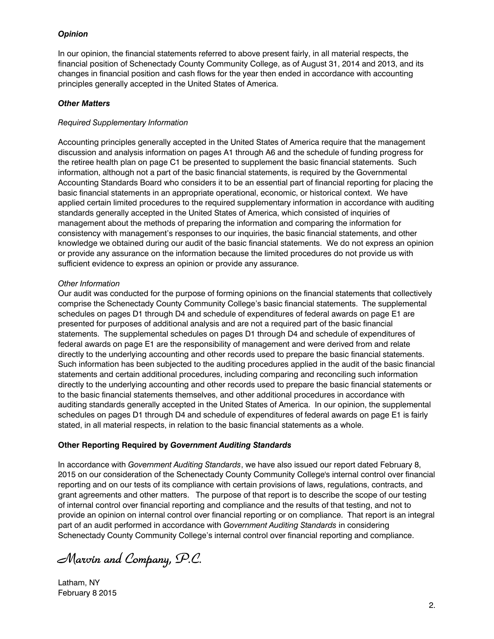### *Opinion*

In our opinion, the financial statements referred to above present fairly, in all material respects, the financial position of Schenectady County Community College, as of August 31, 2014 and 2013, and its changes in financial position and cash flows for the year then ended in accordance with accounting principles generally accepted in the United States of America.

### *Other Matters*

### *Required Supplementary Information*

Accounting principles generally accepted in the United States of America require that the management discussion and analysis information on pages A1 through A6 and the schedule of funding progress for the retiree health plan on page C1 be presented to supplement the basic financial statements. Such information, although not a part of the basic financial statements, is required by the Governmental Accounting Standards Board who considers it to be an essential part of financial reporting for placing the basic financial statements in an appropriate operational, economic, or historical context. We have applied certain limited procedures to the required supplementary information in accordance with auditing standards generally accepted in the United States of America, which consisted of inquiries of management about the methods of preparing the information and comparing the information for consistency with management's responses to our inquiries, the basic financial statements, and other knowledge we obtained during our audit of the basic financial statements. We do not express an opinion or provide any assurance on the information because the limited procedures do not provide us with sufficient evidence to express an opinion or provide any assurance.

### *Other Information*

Our audit was conducted for the purpose of forming opinions on the financial statements that collectively comprise the Schenectady County Community College's basic financial statements. The supplemental schedules on pages D1 through D4 and schedule of expenditures of federal awards on page E1 are presented for purposes of additional analysis and are not a required part of the basic financial statements. The supplemental schedules on pages D1 through D4 and schedule of expenditures of federal awards on page E1 are the responsibility of management and were derived from and relate directly to the underlying accounting and other records used to prepare the basic financial statements. Such information has been subjected to the auditing procedures applied in the audit of the basic financial statements and certain additional procedures, including comparing and reconciling such information directly to the underlying accounting and other records used to prepare the basic financial statements or to the basic financial statements themselves, and other additional procedures in accordance with auditing standards generally accepted in the United States of America. In our opinion, the supplemental schedules on pages D1 through D4 and schedule of expenditures of federal awards on page E1 is fairly stated, in all material respects, in relation to the basic financial statements as a whole.

## **Other Reporting Required by** *Government Auditing Standards*

In accordance with *Government Auditing Standards*, we have also issued our report dated February 8, 2015 on our consideration of the Schenectady County Community College's internal control over financial reporting and on our tests of its compliance with certain provisions of laws, regulations, contracts, and grant agreements and other matters. The purpose of that report is to describe the scope of our testing of internal control over financial reporting and compliance and the results of that testing, and not to provide an opinion on internal control over financial reporting or on compliance. That report is an integral part of an audit performed in accordance with *Government Auditing Standards* in considering Schenectady County Community College's internal control over financial reporting and compliance.

Marvin and Company, P.C.

Latham, NY February 8 2015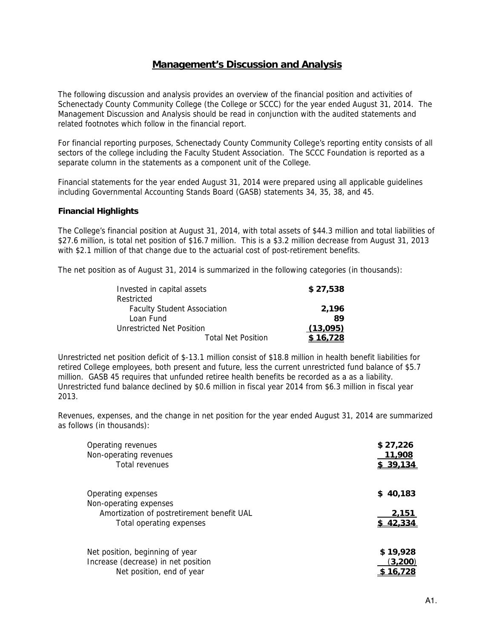## **Management's Discussion and Analysis**

The following discussion and analysis provides an overview of the financial position and activities of Schenectady County Community College (the College or SCCC) for the year ended August 31, 2014. The Management Discussion and Analysis should be read in conjunction with the audited statements and related footnotes which follow in the financial report.

For financial reporting purposes, Schenectady County Community College's reporting entity consists of all sectors of the college including the Faculty Student Association. The SCCC Foundation is reported as a separate column in the statements as a component unit of the College.

Financial statements for the year ended August 31, 2014 were prepared using all applicable guidelines including Governmental Accounting Stands Board (GASB) statements 34, 35, 38, and 45.

### **Financial Highlights**

The College's financial position at August 31, 2014, with total assets of \$44.3 million and total liabilities of \$27.6 million, is total net position of \$16.7 million. This is a \$3.2 million decrease from August 31, 2013 with \$2.1 million of that change due to the actuarial cost of post-retirement benefits.

The net position as of August 31, 2014 is summarized in the following categories (in thousands):

| Invested in capital assets         | \$27,538 |
|------------------------------------|----------|
| Restricted                         |          |
| <b>Faculty Student Association</b> | 2,196    |
| Loan Fund                          | 89       |
| Unrestricted Net Position          | (13,095) |
| <b>Total Net Position</b>          |          |

Unrestricted net position deficit of \$-13.1 million consist of \$18.8 million in health benefit liabilities for retired College employees, both present and future, less the current unrestricted fund balance of \$5.7 million. GASB 45 requires that unfunded retiree health benefits be recorded as a as a liability. Unrestricted fund balance declined by \$0.6 million in fiscal year 2014 from \$6.3 million in fiscal year 2013.

Revenues, expenses, and the change in net position for the year ended August 31, 2014 are summarized as follows (in thousands):

| Operating revenues                                                                                                     | \$27,226                      |
|------------------------------------------------------------------------------------------------------------------------|-------------------------------|
| Non-operating revenues                                                                                                 | <u>11,908</u>                 |
| Total revenues                                                                                                         | \$39.134                      |
| Operating expenses<br>Non-operating expenses<br>Amortization of postretirement benefit UAL<br>Total operating expenses | \$40,183<br>2,151<br>\$42,334 |
| Net position, beginning of year                                                                                        | \$19,928                      |
| Increase (decrease) in net position                                                                                    | (3,200)                       |
| Net position, end of year                                                                                              | 16.728                        |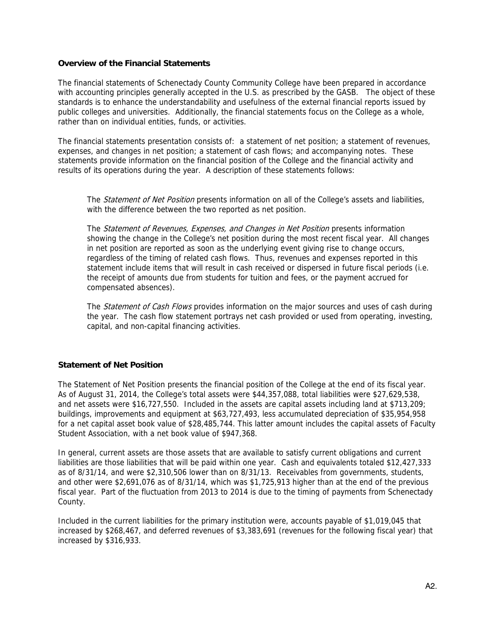### **Overview of the Financial Statements**

The financial statements of Schenectady County Community College have been prepared in accordance with accounting principles generally accepted in the U.S. as prescribed by the GASB. The object of these standards is to enhance the understandability and usefulness of the external financial reports issued by public colleges and universities. Additionally, the financial statements focus on the College as a whole, rather than on individual entities, funds, or activities.

The financial statements presentation consists of: a statement of net position; a statement of revenues, expenses, and changes in net position; a statement of cash flows; and accompanying notes. These statements provide information on the financial position of the College and the financial activity and results of its operations during the year. A description of these statements follows:

The *Statement of Net Position* presents information on all of the College's assets and liabilities, with the difference between the two reported as net position.

The Statement of Revenues, Expenses, and Changes in Net Position presents information showing the change in the College's net position during the most recent fiscal year. All changes in net position are reported as soon as the underlying event giving rise to change occurs, regardless of the timing of related cash flows. Thus, revenues and expenses reported in this statement include items that will result in cash received or dispersed in future fiscal periods (i.e. the receipt of amounts due from students for tuition and fees, or the payment accrued for compensated absences).

The *Statement of Cash Flows* provides information on the major sources and uses of cash during the year. The cash flow statement portrays net cash provided or used from operating, investing, capital, and non-capital financing activities.

## **Statement of Net Position**

The Statement of Net Position presents the financial position of the College at the end of its fiscal year. As of August 31, 2014, the College's total assets were \$44,357,088, total liabilities were \$27,629,538, and net assets were \$16,727,550. Included in the assets are capital assets including land at \$713,209; buildings, improvements and equipment at \$63,727,493, less accumulated depreciation of \$35,954,958 for a net capital asset book value of \$28,485,744. This latter amount includes the capital assets of Faculty Student Association, with a net book value of \$947,368.

In general, current assets are those assets that are available to satisfy current obligations and current liabilities are those liabilities that will be paid within one year. Cash and equivalents totaled \$12,427,333 as of 8/31/14, and were \$2,310,506 lower than on 8/31/13. Receivables from governments, students, and other were \$2,691,076 as of 8/31/14, which was \$1,725,913 higher than at the end of the previous fiscal year. Part of the fluctuation from 2013 to 2014 is due to the timing of payments from Schenectady County.

Included in the current liabilities for the primary institution were, accounts payable of \$1,019,045 that increased by \$268,467, and deferred revenues of \$3,383,691 (revenues for the following fiscal year) that increased by \$316,933.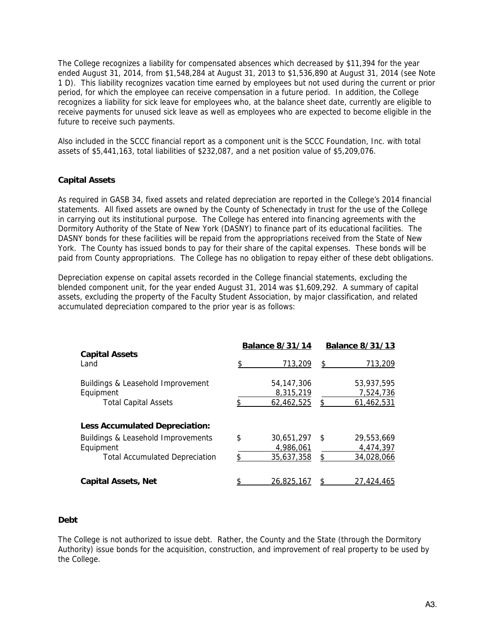The College recognizes a liability for compensated absences which decreased by \$11,394 for the year ended August 31, 2014, from \$1,548,284 at August 31, 2013 to \$1,536,890 at August 31, 2014 (see Note 1 D). This liability recognizes vacation time earned by employees but not used during the current or prior period, for which the employee can receive compensation in a future period. In addition, the College recognizes a liability for sick leave for employees who, at the balance sheet date, currently are eligible to receive payments for unused sick leave as well as employees who are expected to become eligible in the future to receive such payments.

Also included in the SCCC financial report as a component unit is the SCCC Foundation, Inc. with total assets of \$5,441,163, total liabilities of \$232,087, and a net position value of \$5,209,076.

## **Capital Assets**

As required in GASB 34, fixed assets and related depreciation are reported in the College's 2014 financial statements. All fixed assets are owned by the County of Schenectady in trust for the use of the College in carrying out its institutional purpose. The College has entered into financing agreements with the Dormitory Authority of the State of New York (DASNY) to finance part of its educational facilities. The DASNY bonds for these facilities will be repaid from the appropriations received from the State of New York. The County has issued bonds to pay for their share of the capital expenses. These bonds will be paid from County appropriations. The College has no obligation to repay either of these debt obligations.

Depreciation expense on capital assets recorded in the College financial statements, excluding the blended component unit, for the year ended August 31, 2014 was \$1,609,292. A summary of capital assets, excluding the property of the Faculty Student Association, by major classification, and related accumulated depreciation compared to the prior year is as follows:

|                                                                               | <b>Balance 8/31/14</b> |                                       |          |                                       |  | <b>Balance 8/31/13</b> |
|-------------------------------------------------------------------------------|------------------------|---------------------------------------|----------|---------------------------------------|--|------------------------|
| <b>Capital Assets</b><br>Land                                                 |                        | 713,209                               | \$       | 713,209                               |  |                        |
| Buildings & Leasehold Improvement<br>Equipment<br><b>Total Capital Assets</b> |                        | 54.147.306<br>8,315,219<br>62,462,525 | \$       | 53.937.595<br>7,524,736<br>61,462,531 |  |                        |
| <b>Less Accumulated Depreciation:</b>                                         |                        |                                       |          |                                       |  |                        |
| Buildings & Leasehold Improvements<br>Equipment                               | \$                     | 30,651,297<br>4,986,061               | <b>S</b> | 29.553.669<br>4,474,397               |  |                        |
| <b>Total Accumulated Depreciation</b>                                         | ፍ                      | 35,637,358                            | \$       | 34,028,066                            |  |                        |
| <b>Capital Assets, Net</b>                                                    |                        | 26,825,16                             |          | 27.424.465                            |  |                        |

## **Debt**

The College is not authorized to issue debt. Rather, the County and the State (through the Dormitory Authority) issue bonds for the acquisition, construction, and improvement of real property to be used by the College.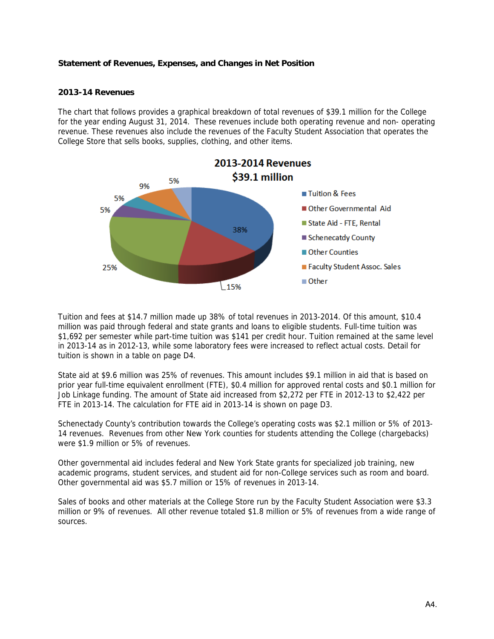## **Statement of Revenues, Expenses, and Changes in Net Position**

### **2013-14 Revenues**

The chart that follows provides a graphical breakdown of total revenues of \$39.1 million for the College for the year ending August 31, 2014. These revenues include both operating revenue and non- operating revenue. These revenues also include the revenues of the Faculty Student Association that operates the College Store that sells books, supplies, clothing, and other items.



Tuition and fees at \$14.7 million made up 38% of total revenues in 2013-2014. Of this amount, \$10.4 million was paid through federal and state grants and loans to eligible students. Full-time tuition was \$1,692 per semester while part-time tuition was \$141 per credit hour. Tuition remained at the same level in 2013-14 as in 2012-13, while some laboratory fees were increased to reflect actual costs. Detail for tuition is shown in a table on page D4.

State aid at \$9.6 million was 25% of revenues. This amount includes \$9.1 million in aid that is based on prior year full-time equivalent enrollment (FTE), \$0.4 million for approved rental costs and \$0.1 million for Job Linkage funding. The amount of State aid increased from \$2,272 per FTE in 2012-13 to \$2,422 per FTE in 2013-14. The calculation for FTE aid in 2013-14 is shown on page D3.

Schenectady County's contribution towards the College's operating costs was \$2.1 million or 5% of 2013- 14 revenues. Revenues from other New York counties for students attending the College (chargebacks) were \$1.9 million or 5% of revenues.

Other governmental aid includes federal and New York State grants for specialized job training, new academic programs, student services, and student aid for non-College services such as room and board. Other governmental aid was \$5.7 million or 15% of revenues in 2013-14.

Sales of books and other materials at the College Store run by the Faculty Student Association were \$3.3 million or 9% of revenues. All other revenue totaled \$1.8 million or 5% of revenues from a wide range of sources.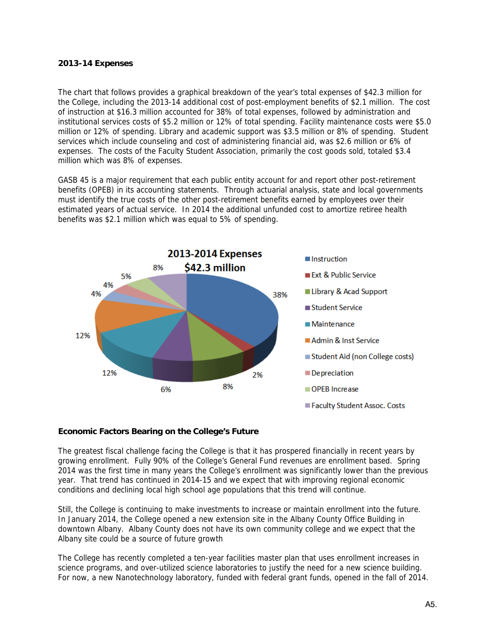### **2013-14 Expenses**

The chart that follows provides a graphical breakdown of the year's total expenses of \$42.3 million for the College, including the 2013-14 additional cost of post-employment benefits of \$2.1 million. The cost of instruction at \$16.3 million accounted for 38% of total expenses, followed by administration and institutional services costs of \$5.2 million or 12% of total spending. Facility maintenance costs were \$5.0 million or 12% of spending. Library and academic support was \$3.5 million or 8% of spending. Student services which include counseling and cost of administering financial aid, was \$2.6 million or 6% of expenses. The costs of the Faculty Student Association, primarily the cost goods sold, totaled \$3.4 million which was 8% of expenses.

GASB 45 is a major requirement that each public entity account for and report other post-retirement benefits (OPEB) in its accounting statements. Through actuarial analysis, state and local governments must identify the true costs of the other post-retirement benefits earned by employees over their estimated years of actual service. In 2014 the additional unfunded cost to amortize retiree health benefits was \$2.1 million which was equal to 5% of spending.



#### **Economic Factors Bearing on the College's Future**

The greatest fiscal challenge facing the College is that it has prospered financially in recent years by growing enrollment. Fully 90% of the College's General Fund revenues are enrollment based. Spring 2014 was the first time in many years the College's enrollment was significantly lower than the previous year. That trend has continued in 2014-15 and we expect that with improving regional economic conditions and declining local high school age populations that this trend will continue.

Still, the College is continuing to make investments to increase or maintain enrollment into the future. In January 2014, the College opened a new extension site in the Albany County Office Building in downtown Albany. Albany County does not have its own community college and we expect that the Albany site could be a source of future growth

The College has recently completed a ten-year facilities master plan that uses enrollment increases in science programs, and over-utilized science laboratories to justify the need for a new science building. For now, a new Nanotechnology laboratory, funded with federal grant funds, opened in the fall of 2014.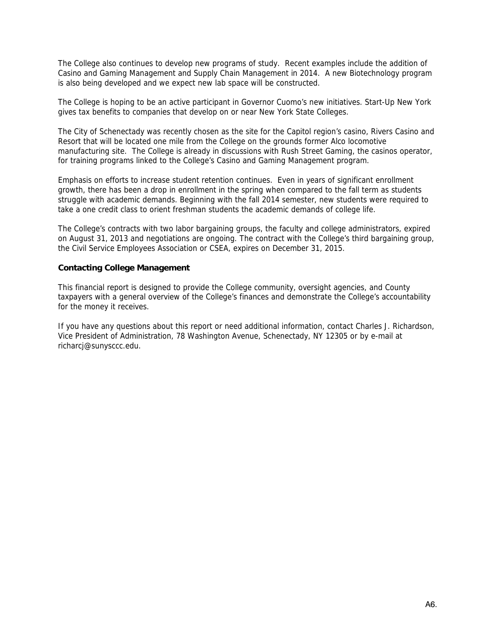The College also continues to develop new programs of study. Recent examples include the addition of Casino and Gaming Management and Supply Chain Management in 2014. A new Biotechnology program is also being developed and we expect new lab space will be constructed.

The College is hoping to be an active participant in Governor Cuomo's new initiatives. Start-Up New York gives tax benefits to companies that develop on or near New York State Colleges.

The City of Schenectady was recently chosen as the site for the Capitol region's casino, Rivers Casino and Resort that will be located one mile from the College on the grounds former Alco locomotive manufacturing site. The College is already in discussions with Rush Street Gaming, the casinos operator, for training programs linked to the College's Casino and Gaming Management program.

Emphasis on efforts to increase student retention continues. Even in years of significant enrollment growth, there has been a drop in enrollment in the spring when compared to the fall term as students struggle with academic demands. Beginning with the fall 2014 semester, new students were required to take a one credit class to orient freshman students the academic demands of college life.

The College's contracts with two labor bargaining groups, the faculty and college administrators, expired on August 31, 2013 and negotiations are ongoing. The contract with the College's third bargaining group, the Civil Service Employees Association or CSEA, expires on December 31, 2015.

#### **Contacting College Management**

This financial report is designed to provide the College community, oversight agencies, and County taxpayers with a general overview of the College's finances and demonstrate the College's accountability for the money it receives.

If you have any questions about this report or need additional information, contact Charles J. Richardson, Vice President of Administration, 78 Washington Avenue, Schenectady, NY 12305 or by e-mail at richarcj@sunysccc.edu.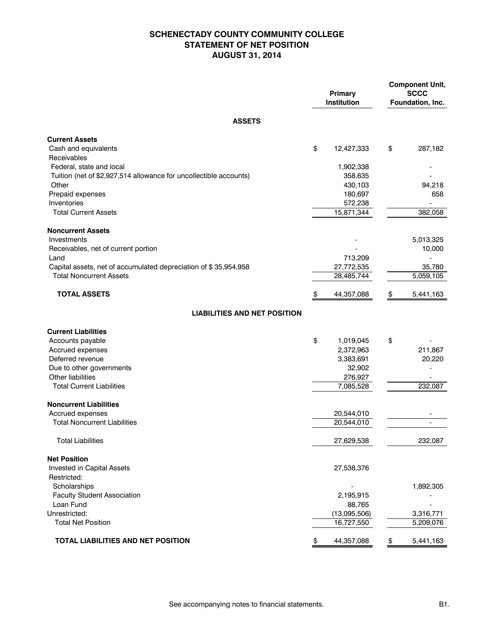## **SCHENECTADY COUNTY COMMUNITY COLLEGE STATEMENT OF NET POSITION AUGUST 31, 2014**

|                                                                   | <b>Primary</b><br>Institution |              | <b>Component Unit,</b><br><b>SCCC</b><br>Foundation, Inc. |                         |  |
|-------------------------------------------------------------------|-------------------------------|--------------|-----------------------------------------------------------|-------------------------|--|
| <b>ASSETS</b>                                                     |                               |              |                                                           |                         |  |
| <b>Current Assets</b>                                             |                               |              |                                                           |                         |  |
| Cash and equivalents                                              | \$                            | 12,427,333   | \$                                                        | 287,182                 |  |
| Receivables                                                       |                               |              |                                                           |                         |  |
| Federal, state and local                                          |                               | 1,902,338    |                                                           |                         |  |
| Tuition (net of \$2,927,514 allowance for uncollectible accounts) |                               | 358,635      |                                                           |                         |  |
| Other                                                             |                               | 430,103      |                                                           | 94,218                  |  |
| Prepaid expenses                                                  |                               | 180,697      |                                                           | 658                     |  |
| Inventories                                                       |                               | 572,238      |                                                           |                         |  |
| <b>Total Current Assets</b>                                       |                               | 15,871,344   |                                                           | 382,058                 |  |
| <b>Noncurrent Assets</b>                                          |                               |              |                                                           |                         |  |
| Investments                                                       |                               |              |                                                           | 5,013,325               |  |
| Receivables, net of current portion                               |                               |              |                                                           | 10,000                  |  |
| Land                                                              |                               | 713,209      |                                                           |                         |  |
| Capital assets, net of accumulated depreciation of \$35,954,958   |                               | 27,772,535   |                                                           | 35,780                  |  |
| <b>Total Noncurrent Assets</b>                                    |                               | 28,485,744   |                                                           | $\overline{5}$ ,059,105 |  |
| <b>TOTAL ASSETS</b>                                               | \$                            | 44,357,088   | \$                                                        | 5,441,163               |  |
|                                                                   |                               |              |                                                           |                         |  |
| <b>LIABILITIES AND NET POSITION</b>                               |                               |              |                                                           |                         |  |
| <b>Current Liabilities</b>                                        |                               |              |                                                           |                         |  |
| Accounts payable                                                  | \$                            | 1,019,045    | \$                                                        |                         |  |
| Accrued expenses                                                  |                               | 2,372,963    |                                                           | 211,867                 |  |
| Deferred revenue                                                  |                               | 3,383,691    |                                                           | 20,220                  |  |
| Due to other governments                                          |                               | 32,902       |                                                           |                         |  |
| <b>Other liabilities</b>                                          |                               | 276,927      |                                                           |                         |  |
| <b>Total Current Liabilities</b>                                  |                               | 7,085,528    |                                                           | 232,087                 |  |
| <b>Noncurrent Liabilities</b>                                     |                               |              |                                                           |                         |  |
| Accrued expenses                                                  |                               | 20,544,010   |                                                           |                         |  |
| <b>Total Noncurrent Liabilities</b>                               |                               | 20,544,010   |                                                           |                         |  |
| <b>Total Liabilities</b>                                          |                               | 27,629,538   |                                                           | 232,087                 |  |
| <b>Net Position</b>                                               |                               |              |                                                           |                         |  |
| Invested in Capital Assets                                        |                               | 27,538,376   |                                                           |                         |  |
| Restricted:                                                       |                               |              |                                                           |                         |  |
| Scholarships                                                      |                               |              |                                                           | 1,892,305               |  |
| <b>Faculty Student Association</b>                                |                               | 2,195,915    |                                                           |                         |  |
| Loan Fund                                                         |                               | 88,765       |                                                           |                         |  |
| Unrestricted:                                                     |                               | (13,095,506) |                                                           | 3,316,771               |  |
| <b>Total Net Position</b>                                         |                               | 16,727,550   |                                                           | 5,209,076               |  |
| TOTAL LIABILITIES AND NET POSITION                                | \$                            | 44,357,088   | \$                                                        | 5,441,163               |  |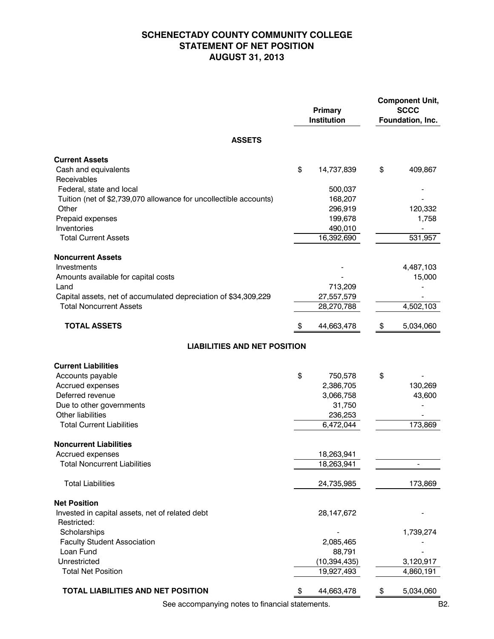## **SCHENECTADY COUNTY COMMUNITY COLLEGE STATEMENT OF NET POSITION AUGUST 31, 2013**

|                                                                   | <b>Primary</b><br>Institution |                      |                 |  | <b>Component Unit,</b><br><b>SCCC</b><br>Foundation, Inc. |
|-------------------------------------------------------------------|-------------------------------|----------------------|-----------------|--|-----------------------------------------------------------|
| <b>ASSETS</b>                                                     |                               |                      |                 |  |                                                           |
| <b>Current Assets</b>                                             |                               |                      |                 |  |                                                           |
| Cash and equivalents                                              | \$                            | 14,737,839           | \$<br>409,867   |  |                                                           |
| Receivables                                                       |                               |                      |                 |  |                                                           |
| Federal, state and local                                          |                               | 500,037              |                 |  |                                                           |
| Tuition (net of \$2,739,070 allowance for uncollectible accounts) |                               | 168,207              |                 |  |                                                           |
| Other                                                             |                               | 296,919<br>199,678   | 120,332         |  |                                                           |
| Prepaid expenses<br>Inventories                                   |                               | 490,010              | 1,758           |  |                                                           |
| <b>Total Current Assets</b>                                       |                               | 16,392,690           | 531,957         |  |                                                           |
|                                                                   |                               |                      |                 |  |                                                           |
| <b>Noncurrent Assets</b>                                          |                               |                      |                 |  |                                                           |
| Investments                                                       |                               |                      | 4,487,103       |  |                                                           |
| Amounts available for capital costs                               |                               |                      | 15,000          |  |                                                           |
| Land                                                              |                               | 713,209              |                 |  |                                                           |
| Capital assets, net of accumulated depreciation of \$34,309,229   |                               | 27,557,579           |                 |  |                                                           |
| <b>Total Noncurrent Assets</b>                                    |                               | 28,270,788           | 4,502,103       |  |                                                           |
| <b>TOTAL ASSETS</b>                                               | \$                            | 44,663,478           | \$<br>5,034,060 |  |                                                           |
| <b>LIABILITIES AND NET POSITION</b>                               |                               |                      |                 |  |                                                           |
|                                                                   |                               |                      |                 |  |                                                           |
| <b>Current Liabilities</b>                                        |                               |                      |                 |  |                                                           |
| Accounts payable                                                  | \$                            | 750,578              | \$              |  |                                                           |
| Accrued expenses                                                  |                               | 2,386,705            | 130,269         |  |                                                           |
| Deferred revenue                                                  |                               | 3,066,758            | 43,600          |  |                                                           |
| Due to other governments                                          |                               | 31,750               |                 |  |                                                           |
| <b>Other liabilities</b><br><b>Total Current Liabilities</b>      |                               | 236,253<br>6,472,044 | 173,869         |  |                                                           |
|                                                                   |                               |                      |                 |  |                                                           |
| <b>Noncurrent Liabilities</b>                                     |                               |                      |                 |  |                                                           |
| Accrued expenses                                                  |                               | 18,263,941           |                 |  |                                                           |
| <b>Total Noncurrent Liabilities</b>                               |                               | 18,263,941           |                 |  |                                                           |
| <b>Total Liabilities</b>                                          |                               | 24,735,985           | 173,869         |  |                                                           |
| <b>Net Position</b>                                               |                               |                      |                 |  |                                                           |
| Invested in capital assets, net of related debt                   |                               | 28,147,672           |                 |  |                                                           |
| Restricted:                                                       |                               |                      |                 |  |                                                           |
| Scholarships                                                      |                               |                      | 1,739,274       |  |                                                           |
| <b>Faculty Student Association</b>                                |                               | 2,085,465            |                 |  |                                                           |
| Loan Fund                                                         |                               | 88,791               |                 |  |                                                           |
| Unrestricted                                                      |                               | (10, 394, 435)       | 3,120,917       |  |                                                           |
| <b>Total Net Position</b>                                         |                               | 19,927,493           | 4,860,191       |  |                                                           |
| <b>TOTAL LIABILITIES AND NET POSITION</b>                         | \$                            | 44,663,478           | \$<br>5,034,060 |  |                                                           |

See accompanying notes to financial statements. The matrix of the B2.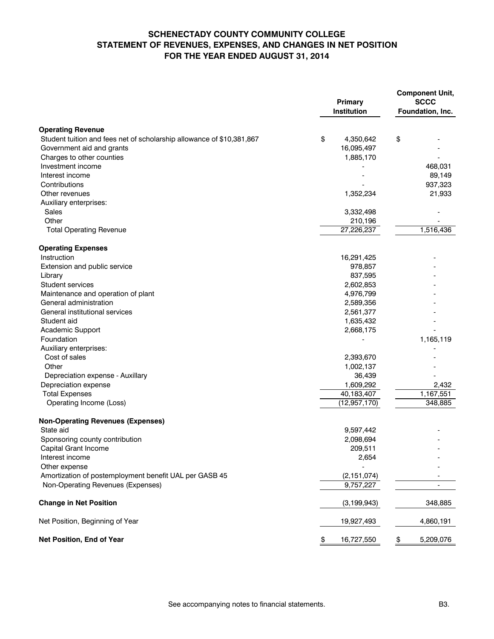## **SCHENECTADY COUNTY COMMUNITY COLLEGE STATEMENT OF REVENUES, EXPENSES, AND CHANGES IN NET POSITION FOR THE YEAR ENDED AUGUST 31, 2014**

|                                                                       | <b>Primary</b><br><b>Institution</b> | <b>Component Unit,</b><br><b>SCCC</b><br>Foundation, Inc. |  |  |
|-----------------------------------------------------------------------|--------------------------------------|-----------------------------------------------------------|--|--|
| <b>Operating Revenue</b>                                              |                                      |                                                           |  |  |
| Student tuition and fees net of scholarship allowance of \$10,381,867 | \$<br>4,350,642                      | \$                                                        |  |  |
| Government aid and grants                                             | 16,095,497                           |                                                           |  |  |
| Charges to other counties                                             | 1,885,170                            |                                                           |  |  |
| Investment income                                                     |                                      | 468,031                                                   |  |  |
| Interest income                                                       |                                      | 89,149                                                    |  |  |
| Contributions                                                         |                                      | 937,323                                                   |  |  |
| Other revenues                                                        | 1,352,234                            | 21,933                                                    |  |  |
| Auxiliary enterprises:                                                |                                      |                                                           |  |  |
| Sales                                                                 | 3,332,498                            |                                                           |  |  |
| Other                                                                 | 210,196                              |                                                           |  |  |
| <b>Total Operating Revenue</b>                                        | 27,226,237                           | 1,516,436                                                 |  |  |
| <b>Operating Expenses</b>                                             |                                      |                                                           |  |  |
| Instruction                                                           | 16,291,425                           |                                                           |  |  |
| Extension and public service                                          | 978,857                              |                                                           |  |  |
| Library                                                               | 837,595                              |                                                           |  |  |
| <b>Student services</b>                                               | 2,602,853                            |                                                           |  |  |
| Maintenance and operation of plant                                    | 4,976,799                            |                                                           |  |  |
| General administration                                                | 2,589,356                            |                                                           |  |  |
| General institutional services                                        | 2,561,377                            |                                                           |  |  |
| Student aid                                                           | 1,635,432                            |                                                           |  |  |
| Academic Support                                                      | 2,668,175                            |                                                           |  |  |
| Foundation                                                            |                                      | 1,165,119                                                 |  |  |
| Auxiliary enterprises:                                                |                                      |                                                           |  |  |
| Cost of sales                                                         | 2,393,670                            |                                                           |  |  |
| Other                                                                 | 1,002,137                            |                                                           |  |  |
| Depreciation expense - Auxillary                                      | 36,439                               |                                                           |  |  |
| Depreciation expense                                                  | 1,609,292                            | 2,432                                                     |  |  |
| <b>Total Expenses</b>                                                 | 40,183,407                           | 1,167,551                                                 |  |  |
| Operating Income (Loss)                                               | (12, 957, 170)                       | 348,885                                                   |  |  |
| <b>Non-Operating Revenues (Expenses)</b>                              |                                      |                                                           |  |  |
| State aid                                                             | 9,597,442                            |                                                           |  |  |
| Sponsoring county contribution                                        | 2,098,694                            |                                                           |  |  |
| Capital Grant Income                                                  | 209,511                              |                                                           |  |  |
| Interest income                                                       | 2,654                                |                                                           |  |  |
| Other expense                                                         |                                      |                                                           |  |  |
| Amortization of postemployment benefit UAL per GASB 45                | (2, 151, 074)                        |                                                           |  |  |
| Non-Operating Revenues (Expenses)                                     | 9,757,227                            |                                                           |  |  |
| <b>Change in Net Position</b>                                         | (3, 199, 943)                        | 348,885                                                   |  |  |
| Net Position, Beginning of Year                                       | 19,927,493                           | 4,860,191                                                 |  |  |
| Net Position, End of Year                                             | 16,727,550<br>\$                     | \$<br>5,209,076                                           |  |  |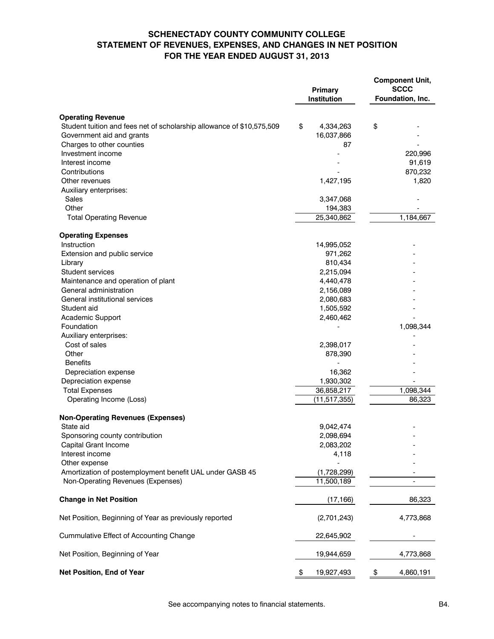## **SCHENECTADY COUNTY COMMUNITY COLLEGE STATEMENT OF REVENUES, EXPENSES, AND CHANGES IN NET POSITION FOR THE YEAR ENDED AUGUST 31, 2013**

|                                                                       | <b>Primary</b><br>Institution |                | <b>Component Unit,</b><br><b>SCCC</b><br>Foundation, Inc. |
|-----------------------------------------------------------------------|-------------------------------|----------------|-----------------------------------------------------------|
| <b>Operating Revenue</b>                                              |                               |                |                                                           |
| Student tuition and fees net of scholarship allowance of \$10,575,509 | \$                            | 4,334,263      | \$                                                        |
| Government aid and grants                                             |                               | 16,037,866     |                                                           |
| Charges to other counties                                             |                               | 87             |                                                           |
| Investment income                                                     |                               |                | 220,996                                                   |
| Interest income                                                       |                               |                | 91,619                                                    |
| Contributions                                                         |                               |                | 870,232                                                   |
| Other revenues                                                        |                               | 1,427,195      | 1,820                                                     |
| Auxiliary enterprises:                                                |                               |                |                                                           |
| Sales                                                                 |                               | 3,347,068      |                                                           |
| Other                                                                 |                               | 194,383        |                                                           |
| <b>Total Operating Revenue</b>                                        |                               | 25,340,862     | 1,184,667                                                 |
|                                                                       |                               |                |                                                           |
| <b>Operating Expenses</b>                                             |                               |                |                                                           |
| Instruction                                                           |                               | 14,995,052     |                                                           |
| Extension and public service                                          |                               | 971,262        |                                                           |
| Library                                                               |                               | 810,434        |                                                           |
| <b>Student services</b>                                               |                               | 2,215,094      |                                                           |
| Maintenance and operation of plant                                    |                               | 4,440,478      |                                                           |
| General administration                                                |                               | 2,156,089      |                                                           |
| General institutional services                                        |                               | 2,080,683      |                                                           |
| Student aid                                                           |                               | 1,505,592      |                                                           |
| Academic Support                                                      |                               | 2,460,462      |                                                           |
| Foundation                                                            |                               |                | 1,098,344                                                 |
| Auxiliary enterprises:                                                |                               |                |                                                           |
| Cost of sales                                                         |                               | 2,398,017      |                                                           |
| Other                                                                 |                               | 878,390        |                                                           |
| <b>Benefits</b>                                                       |                               |                |                                                           |
| Depreciation expense                                                  |                               | 16,362         |                                                           |
| Depreciation expense                                                  |                               | 1,930,302      |                                                           |
| <b>Total Expenses</b>                                                 |                               | 36,858,217     | 1,098,344                                                 |
| Operating Income (Loss)                                               |                               | (11, 517, 355) | 86,323                                                    |
|                                                                       |                               |                |                                                           |
| <b>Non-Operating Revenues (Expenses)</b>                              |                               |                |                                                           |
| State aid                                                             |                               | 9,042,474      |                                                           |
| Sponsoring county contribution                                        |                               | 2,098,694      |                                                           |
| Capital Grant Income                                                  |                               | 2,083,202      |                                                           |
| Interest income                                                       |                               | 4,118          |                                                           |
| Other expense                                                         |                               |                |                                                           |
| Amortization of postemployment benefit UAL under GASB 45              |                               | (1,728,299)    |                                                           |
| Non-Operating Revenues (Expenses)                                     |                               | 11,500,189     |                                                           |
| <b>Change in Net Position</b>                                         |                               | (17, 166)      | 86,323                                                    |
| Net Position, Beginning of Year as previously reported                |                               | (2,701,243)    | 4,773,868                                                 |
| <b>Cummulative Effect of Accounting Change</b>                        |                               | 22,645,902     |                                                           |
| Net Position, Beginning of Year                                       |                               | 19,944,659     | 4,773,868                                                 |
| Net Position, End of Year                                             | \$                            | 19,927,493     | \$<br>4,860,191                                           |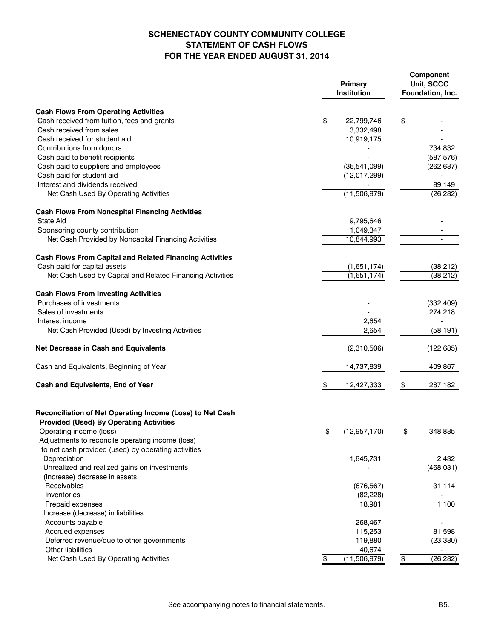## **SCHENECTADY COUNTY COMMUNITY COLLEGE STATEMENT OF CASH FLOWS FOR THE YEAR ENDED AUGUST 31, 2014**

|                                                                                                             |                         | <b>Primary</b><br><b>Institution</b> | Component<br>Unit, SCCC<br>Foundation, Inc. |                |  |
|-------------------------------------------------------------------------------------------------------------|-------------------------|--------------------------------------|---------------------------------------------|----------------|--|
| <b>Cash Flows From Operating Activities</b>                                                                 |                         |                                      |                                             |                |  |
| Cash received from tuition, fees and grants                                                                 | \$                      | 22,799,746                           | \$                                          |                |  |
| Cash received from sales                                                                                    |                         | 3,332,498                            |                                             |                |  |
| Cash received for student aid                                                                               |                         | 10,919,175                           |                                             |                |  |
| Contributions from donors                                                                                   |                         |                                      |                                             | 734,832        |  |
| Cash paid to benefit recipients                                                                             |                         |                                      |                                             | (587, 576)     |  |
| Cash paid to suppliers and employees                                                                        |                         | (36,541,099)                         |                                             | (262, 687)     |  |
| Cash paid for student aid                                                                                   |                         | (12,017,299)                         |                                             |                |  |
| Interest and dividends received                                                                             |                         |                                      |                                             | 89,149         |  |
| Net Cash Used By Operating Activities                                                                       |                         | (11,506,979)                         |                                             | (26, 282)      |  |
| <b>Cash Flows From Noncapital Financing Activities</b>                                                      |                         |                                      |                                             |                |  |
| State Aid                                                                                                   |                         | 9,795,646                            |                                             |                |  |
| Sponsoring county contribution                                                                              |                         | 1,049,347                            |                                             |                |  |
| Net Cash Provided by Noncapital Financing Activities                                                        |                         | 10,844,993                           |                                             | $\blacksquare$ |  |
| <b>Cash Flows From Capital and Related Financing Activities</b>                                             |                         |                                      |                                             |                |  |
| Cash paid for capital assets                                                                                |                         | (1,651,174)                          |                                             | (38, 212)      |  |
| Net Cash Used by Capital and Related Financing Activities                                                   |                         | (1,651,174)                          |                                             | (38, 212)      |  |
| <b>Cash Flows From Investing Activities</b>                                                                 |                         |                                      |                                             |                |  |
| Purchases of investments                                                                                    |                         |                                      |                                             | (332, 409)     |  |
| Sales of investments                                                                                        |                         |                                      |                                             | 274,218        |  |
| Interest income                                                                                             |                         | 2,654                                |                                             |                |  |
| Net Cash Provided (Used) by Investing Activities                                                            |                         | 2,654                                |                                             | (58, 191)      |  |
| <b>Net Decrease in Cash and Equivalents</b>                                                                 |                         | (2,310,506)                          |                                             | (122, 685)     |  |
| Cash and Equivalents, Beginning of Year                                                                     |                         | 14,737,839                           |                                             | 409,867        |  |
| <b>Cash and Equivalents, End of Year</b>                                                                    | \$                      | 12,427,333                           | \$                                          | 287,182        |  |
| Reconciliation of Net Operating Income (Loss) to Net Cash<br><b>Provided (Used) By Operating Activities</b> |                         |                                      |                                             |                |  |
| Operating income (loss)                                                                                     | \$                      | (12, 957, 170)                       | \$                                          | 348,885        |  |
| Adjustments to reconcile operating income (loss)                                                            |                         |                                      |                                             |                |  |
| to net cash provided (used) by operating activities                                                         |                         |                                      |                                             |                |  |
| Depreciation                                                                                                |                         | 1,645,731                            |                                             | 2,432          |  |
| Unrealized and realized gains on investments                                                                |                         |                                      |                                             | (468, 031)     |  |
| (Increase) decrease in assets:                                                                              |                         |                                      |                                             |                |  |
| Receivables                                                                                                 |                         | (676, 567)                           |                                             | 31,114         |  |
| Inventories                                                                                                 |                         | (82, 228)                            |                                             |                |  |
| Prepaid expenses                                                                                            |                         | 18,981                               |                                             | 1,100          |  |
| Increase (decrease) in liabilities:                                                                         |                         |                                      |                                             |                |  |
| Accounts payable                                                                                            |                         | 268,467                              |                                             |                |  |
| Accrued expenses                                                                                            |                         | 115,253                              |                                             | 81,598         |  |
| Deferred revenue/due to other governments                                                                   |                         | 119,880                              |                                             | (23, 380)      |  |
| <b>Other liabilities</b>                                                                                    |                         | 40,674                               |                                             |                |  |
| Net Cash Used By Operating Activities                                                                       | $\overline{\mathbf{e}}$ | (11,506,979)                         | $\overline{\mathbf{e}}$                     | (26, 282)      |  |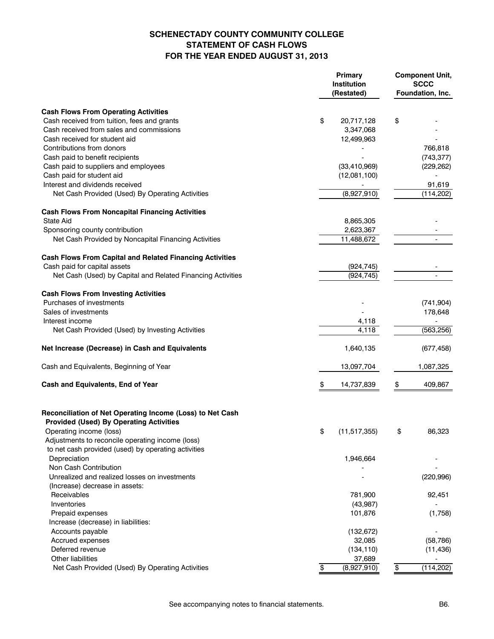## **SCHENECTADY COUNTY COMMUNITY COLLEGE STATEMENT OF CASH FLOWS FOR THE YEAR ENDED AUGUST 31, 2013**

|                                                                                                                                                                                            |                         | <b>Primary</b><br><b>Institution</b><br>(Restated) | <b>Component Unit,</b><br><b>SCCC</b><br>Foundation, Inc. |            |  |
|--------------------------------------------------------------------------------------------------------------------------------------------------------------------------------------------|-------------------------|----------------------------------------------------|-----------------------------------------------------------|------------|--|
| <b>Cash Flows From Operating Activities</b>                                                                                                                                                |                         |                                                    |                                                           |            |  |
| Cash received from tuition, fees and grants                                                                                                                                                | \$                      | 20,717,128                                         | \$                                                        |            |  |
| Cash received from sales and commissions                                                                                                                                                   |                         | 3,347,068                                          |                                                           |            |  |
| Cash received for student aid                                                                                                                                                              |                         | 12,499,963                                         |                                                           |            |  |
| Contributions from donors                                                                                                                                                                  |                         |                                                    |                                                           | 766,818    |  |
| Cash paid to benefit recipients                                                                                                                                                            |                         |                                                    |                                                           | (743, 377) |  |
| Cash paid to suppliers and employees                                                                                                                                                       |                         | (33, 410, 969)                                     |                                                           | (229, 262) |  |
| Cash paid for student aid                                                                                                                                                                  |                         | (12,081,100)                                       |                                                           |            |  |
| Interest and dividends received                                                                                                                                                            |                         |                                                    |                                                           | 91,619     |  |
| Net Cash Provided (Used) By Operating Activities                                                                                                                                           |                         | (8,927,910)                                        |                                                           | (114, 202) |  |
| <b>Cash Flows From Noncapital Financing Activities</b>                                                                                                                                     |                         |                                                    |                                                           |            |  |
| <b>State Aid</b>                                                                                                                                                                           |                         | 8,865,305                                          |                                                           |            |  |
| Sponsoring county contribution                                                                                                                                                             |                         | 2,623,367                                          |                                                           |            |  |
| Net Cash Provided by Noncapital Financing Activities                                                                                                                                       |                         | 11,488,672                                         |                                                           |            |  |
| <b>Cash Flows From Capital and Related Financing Activities</b>                                                                                                                            |                         |                                                    |                                                           |            |  |
| Cash paid for capital assets                                                                                                                                                               |                         | (924, 745)                                         |                                                           |            |  |
| Net Cash (Used) by Capital and Related Financing Activities                                                                                                                                |                         | (924, 745)                                         |                                                           |            |  |
| <b>Cash Flows From Investing Activities</b>                                                                                                                                                |                         |                                                    |                                                           |            |  |
| Purchases of investments                                                                                                                                                                   |                         |                                                    |                                                           | (741, 904) |  |
| Sales of investments                                                                                                                                                                       |                         |                                                    |                                                           | 178,648    |  |
| Interest income                                                                                                                                                                            |                         | 4,118                                              |                                                           |            |  |
| Net Cash Provided (Used) by Investing Activities                                                                                                                                           |                         | 4,118                                              |                                                           | (563, 256) |  |
| Net Increase (Decrease) in Cash and Equivalents                                                                                                                                            |                         | 1,640,135                                          |                                                           | (677, 458) |  |
| Cash and Equivalents, Beginning of Year                                                                                                                                                    |                         | 13,097,704                                         |                                                           | 1,087,325  |  |
| Cash and Equivalents, End of Year                                                                                                                                                          | \$                      | 14,737,839                                         | \$                                                        | 409,867    |  |
| Reconciliation of Net Operating Income (Loss) to Net Cash<br><b>Provided (Used) By Operating Activities</b><br>Operating income (loss)<br>Adjustments to reconcile operating income (loss) | \$                      | (11, 517, 355)                                     |                                                           | 86,323     |  |
| to net cash provided (used) by operating activities                                                                                                                                        |                         |                                                    |                                                           |            |  |
| Depreciation                                                                                                                                                                               |                         | 1,946,664                                          |                                                           |            |  |
| Non Cash Contribution                                                                                                                                                                      |                         |                                                    |                                                           |            |  |
| Unrealized and realized losses on investments                                                                                                                                              |                         |                                                    |                                                           | (220, 996) |  |
| (Increase) decrease in assets:                                                                                                                                                             |                         |                                                    |                                                           |            |  |
| Receivables                                                                                                                                                                                |                         | 781,900                                            |                                                           | 92,451     |  |
| Inventories                                                                                                                                                                                |                         | (43,987)                                           |                                                           |            |  |
| Prepaid expenses                                                                                                                                                                           |                         | 101,876                                            |                                                           | (1,758)    |  |
| Increase (decrease) in liabilities:                                                                                                                                                        |                         |                                                    |                                                           |            |  |
| Accounts payable                                                                                                                                                                           |                         | (132, 672)                                         |                                                           |            |  |
| Accrued expenses                                                                                                                                                                           |                         | 32,085                                             |                                                           | (58, 786)  |  |
| Deferred revenue                                                                                                                                                                           |                         | (134, 110)                                         |                                                           | (11, 436)  |  |
| <b>Other liabilities</b>                                                                                                                                                                   |                         | 37,689                                             |                                                           |            |  |
| Net Cash Provided (Used) By Operating Activities                                                                                                                                           | $\overline{\mathbf{e}}$ | (8,927,910)                                        | $\overline{\mathcal{E}}$                                  | (114, 202) |  |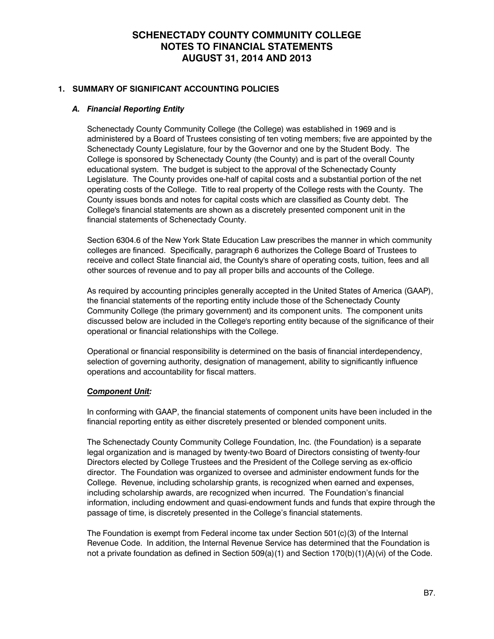## **1. SUMMARY OF SIGNIFICANT ACCOUNTING POLICIES**

## *A. Financial Reporting Entity*

Schenectady County Community College (the College) was established in 1969 and is administered by a Board of Trustees consisting of ten voting members; five are appointed by the Schenectady County Legislature, four by the Governor and one by the Student Body. The College is sponsored by Schenectady County (the County) and is part of the overall County educational system. The budget is subject to the approval of the Schenectady County Legislature. The County provides one-half of capital costs and a substantial portion of the net operating costs of the College. Title to real property of the College rests with the County. The County issues bonds and notes for capital costs which are classified as County debt. The College's financial statements are shown as a discretely presented component unit in the financial statements of Schenectady County.

Section 6304.6 of the New York State Education Law prescribes the manner in which community colleges are financed. Specifically, paragraph 6 authorizes the College Board of Trustees to receive and collect State financial aid, the County's share of operating costs, tuition, fees and all other sources of revenue and to pay all proper bills and accounts of the College.

As required by accounting principles generally accepted in the United States of America (GAAP), the financial statements of the reporting entity include those of the Schenectady County Community College (the primary government) and its component units. The component units discussed below are included in the College's reporting entity because of the significance of their operational or financial relationships with the College.

Operational or financial responsibility is determined on the basis of financial interdependency, selection of governing authority, designation of management, ability to significantly influence operations and accountability for fiscal matters.

## *Component Unit:*

In conforming with GAAP, the financial statements of component units have been included in the financial reporting entity as either discretely presented or blended component units.

The Schenectady County Community College Foundation, Inc. (the Foundation) is a separate legal organization and is managed by twenty-two Board of Directors consisting of twenty-four Directors elected by College Trustees and the President of the College serving as ex-officio director. The Foundation was organized to oversee and administer endowment funds for the College. Revenue, including scholarship grants, is recognized when earned and expenses, including scholarship awards, are recognized when incurred. The Foundation's financial information, including endowment and quasi-endowment funds and funds that expire through the passage of time, is discretely presented in the College's financial statements.

The Foundation is exempt from Federal income tax under Section 501(c)(3) of the Internal Revenue Code. In addition, the Internal Revenue Service has determined that the Foundation is not a private foundation as defined in Section 509(a)(1) and Section 170(b)(1)(A)(vi) of the Code.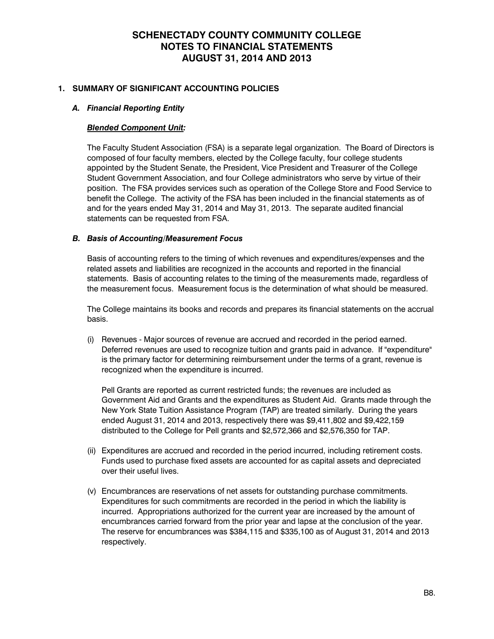## **1. SUMMARY OF SIGNIFICANT ACCOUNTING POLICIES**

### *A. Financial Reporting Entity*

### *Blended Component Unit:*

The Faculty Student Association (FSA) is a separate legal organization. The Board of Directors is composed of four faculty members, elected by the College faculty, four college students appointed by the Student Senate, the President, Vice President and Treasurer of the College Student Government Association, and four College administrators who serve by virtue of their position. The FSA provides services such as operation of the College Store and Food Service to benefit the College. The activity of the FSA has been included in the financial statements as of and for the years ended May 31, 2014 and May 31, 2013. The separate audited financial statements can be requested from FSA.

### *B. Basis of Accounting/Measurement Focus*

Basis of accounting refers to the timing of which revenues and expenditures/expenses and the related assets and liabilities are recognized in the accounts and reported in the financial statements. Basis of accounting relates to the timing of the measurements made, regardless of the measurement focus. Measurement focus is the determination of what should be measured.

The College maintains its books and records and prepares its financial statements on the accrual basis.

(i) Revenues - Major sources of revenue are accrued and recorded in the period earned. Deferred revenues are used to recognize tuition and grants paid in advance. If "expenditure" is the primary factor for determining reimbursement under the terms of a grant, revenue is recognized when the expenditure is incurred.

Pell Grants are reported as current restricted funds; the revenues are included as Government Aid and Grants and the expenditures as Student Aid. Grants made through the New York State Tuition Assistance Program (TAP) are treated similarly. During the years ended August 31, 2014 and 2013, respectively there was \$9,411,802 and \$9,422,159 distributed to the College for Pell grants and \$2,572,366 and \$2,576,350 for TAP.

- (ii) Expenditures are accrued and recorded in the period incurred, including retirement costs. Funds used to purchase fixed assets are accounted for as capital assets and depreciated over their useful lives.
- (v) Encumbrances are reservations of net assets for outstanding purchase commitments. Expenditures for such commitments are recorded in the period in which the liability is incurred. Appropriations authorized for the current year are increased by the amount of encumbrances carried forward from the prior year and lapse at the conclusion of the year. The reserve for encumbrances was \$384,115 and \$335,100 as of August 31, 2014 and 2013 respectively.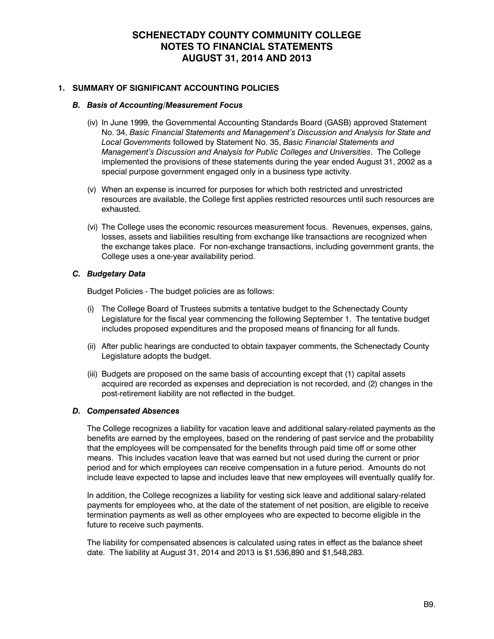### **1. SUMMARY OF SIGNIFICANT ACCOUNTING POLICIES**

#### *B. Basis of Accounting/Measurement Focus*

- (iv) In June 1999, the Governmental Accounting Standards Board (GASB) approved Statement No. 34, *Basic Financial Statements and Management's Discussion and Analysis for State and Local Governments* followed by Statement No. 35, *Basic Financial Statements and Management's Discussion and Analysis for Public Colleges and Universities*. The College implemented the provisions of these statements during the year ended August 31, 2002 as a special purpose government engaged only in a business type activity.
- (v) When an expense is incurred for purposes for which both restricted and unrestricted resources are available, the College first applies restricted resources until such resources are exhausted.
- (vi) The College uses the economic resources measurement focus. Revenues, expenses, gains, losses, assets and liabilities resulting from exchange like transactions are recognized when the exchange takes place. For non-exchange transactions, including government grants, the College uses a one-year availability period.

### *C. Budgetary Data*

Budget Policies - The budget policies are as follows:

- (i) The College Board of Trustees submits a tentative budget to the Schenectady County Legislature for the fiscal year commencing the following September 1. The tentative budget includes proposed expenditures and the proposed means of financing for all funds.
- (ii) After public hearings are conducted to obtain taxpayer comments, the Schenectady County Legislature adopts the budget.
- (iii) Budgets are proposed on the same basis of accounting except that (1) capital assets acquired are recorded as expenses and depreciation is not recorded, and (2) changes in the post-retirement liability are not reflected in the budget.

## *D. Compensated Absences*

The College recognizes a liability for vacation leave and additional salary-related payments as the benefits are earned by the employees, based on the rendering of past service and the probability that the employees will be compensated for the benefits through paid time off or some other means. This includes vacation leave that was earned but not used during the current or prior period and for which employees can receive compensation in a future period. Amounts do not include leave expected to lapse and includes leave that new employees will eventually qualify for.

In addition, the College recognizes a liability for vesting sick leave and additional salary-related payments for employees who, at the date of the statement of net position, are eligible to receive termination payments as well as other employees who are expected to become eligible in the future to receive such payments.

The liability for compensated absences is calculated using rates in effect as the balance sheet date. The liability at August 31, 2014 and 2013 is \$1,536,890 and \$1,548,283.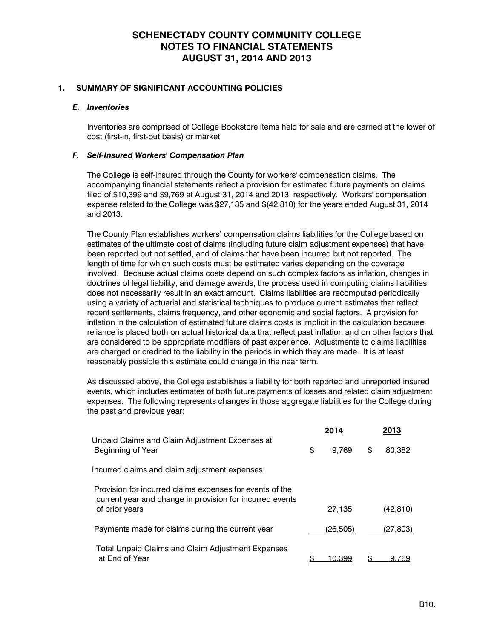### **1. SUMMARY OF SIGNIFICANT ACCOUNTING POLICIES**

### *E. Inventories*

Inventories are comprised of College Bookstore items held for sale and are carried at the lower of cost (first-in, first-out basis) or market.

### *F. Self-Insured Workers' Compensation Plan*

The College is self-insured through the County for workers' compensation claims. The accompanying financial statements reflect a provision for estimated future payments on claims filed of \$10,399 and \$9,769 at August 31, 2014 and 2013, respectively. Workers' compensation expense related to the College was \$27,135 and \$(42,810) for the years ended August 31, 2014 and 2013.

The County Plan establishes workers' compensation claims liabilities for the College based on estimates of the ultimate cost of claims (including future claim adjustment expenses) that have been reported but not settled, and of claims that have been incurred but not reported. The length of time for which such costs must be estimated varies depending on the coverage involved. Because actual claims costs depend on such complex factors as inflation, changes in doctrines of legal liability, and damage awards, the process used in computing claims liabilities does not necessarily result in an exact amount. Claims liabilities are recomputed periodically using a variety of actuarial and statistical techniques to produce current estimates that reflect recent settlements, claims frequency, and other economic and social factors. A provision for inflation in the calculation of estimated future claims costs is implicit in the calculation because reliance is placed both on actual historical data that reflect past inflation and on other factors that are considered to be appropriate modifiers of past experience. Adjustments to claims liabilities are charged or credited to the liability in the periods in which they are made. It is at least reasonably possible this estimate could change in the near term.

As discussed above, the College establishes a liability for both reported and unreported insured events, which includes estimates of both future payments of losses and related claim adjustment expenses. The following represents changes in those aggregate liabilities for the College during the past and previous year:

|                                                                                                                      | 2014        | 2013         |
|----------------------------------------------------------------------------------------------------------------------|-------------|--------------|
| Unpaid Claims and Claim Adjustment Expenses at<br>Beginning of Year                                                  | \$<br>9.769 | \$<br>80.382 |
| Incurred claims and claim adjustment expenses:                                                                       |             |              |
| Provision for incurred claims expenses for events of the<br>current year and change in provision for incurred events |             |              |
| of prior years                                                                                                       | 27,135      | (42, 810)    |
| Payments made for claims during the current year                                                                     | (26,505)    | (27,803)     |
| <b>Total Unpaid Claims and Claim Adjustment Expenses</b><br>at End of Year                                           | 10.399      | 9.769        |
|                                                                                                                      |             |              |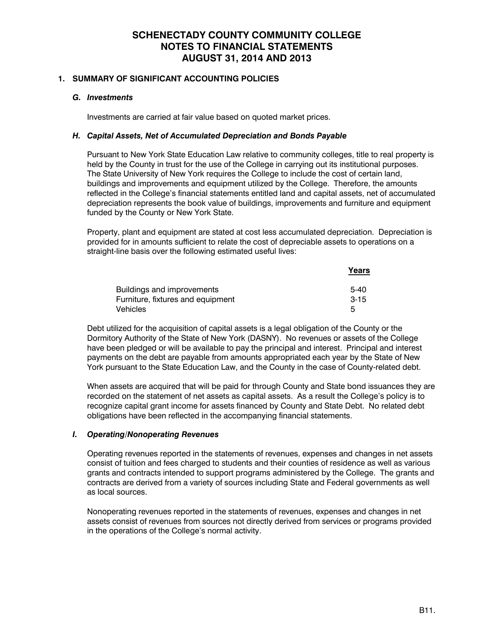### **1. SUMMARY OF SIGNIFICANT ACCOUNTING POLICIES**

### *G. Investments*

Investments are carried at fair value based on quoted market prices.

### *H. Capital Assets, Net of Accumulated Depreciation and Bonds Payable*

Pursuant to New York State Education Law relative to community colleges, title to real property is held by the County in trust for the use of the College in carrying out its institutional purposes. The State University of New York requires the College to include the cost of certain land, buildings and improvements and equipment utilized by the College. Therefore, the amounts reflected in the College's financial statements entitled land and capital assets, net of accumulated depreciation represents the book value of buildings, improvements and furniture and equipment funded by the County or New York State.

Property, plant and equipment are stated at cost less accumulated depreciation. Depreciation is provided for in amounts sufficient to relate the cost of depreciable assets to operations on a straight-line basis over the following estimated useful lives:

|                                   | Years    |
|-----------------------------------|----------|
| Buildings and improvements        | 5-40     |
| Furniture, fixtures and equipment | $3 - 15$ |
| <b>Vehicles</b>                   | 5        |

Debt utilized for the acquisition of capital assets is a legal obligation of the County or the Dormitory Authority of the State of New York (DASNY). No revenues or assets of the College have been pledged or will be available to pay the principal and interest. Principal and interest payments on the debt are payable from amounts appropriated each year by the State of New York pursuant to the State Education Law, and the County in the case of County-related debt.

When assets are acquired that will be paid for through County and State bond issuances they are recorded on the statement of net assets as capital assets. As a result the College's policy is to recognize capital grant income for assets financed by County and State Debt. No related debt obligations have been reflected in the accompanying financial statements.

#### *I. Operating/Nonoperating Revenues*

Operating revenues reported in the statements of revenues, expenses and changes in net assets consist of tuition and fees charged to students and their counties of residence as well as various grants and contracts intended to support programs administered by the College. The grants and contracts are derived from a variety of sources including State and Federal governments as well as local sources.

Nonoperating revenues reported in the statements of revenues, expenses and changes in net assets consist of revenues from sources not directly derived from services or programs provided in the operations of the College's normal activity.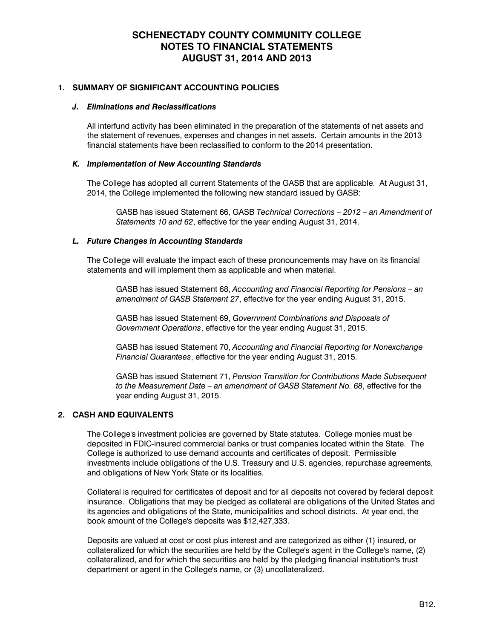### **1. SUMMARY OF SIGNIFICANT ACCOUNTING POLICIES**

#### *J. Eliminations and Reclassifications*

All interfund activity has been eliminated in the preparation of the statements of net assets and the statement of revenues, expenses and changes in net assets. Certain amounts in the 2013 financial statements have been reclassified to conform to the 2014 presentation.

#### *K. Implementation of New Accounting Standards*

The College has adopted all current Statements of the GASB that are applicable. At August 31, 2014, the College implemented the following new standard issued by GASB:

 GASB has issued Statement 66, GASB *Technical Corrections – 2012 – an Amendment of Statements 10 and 62*, effective for the year ending August 31, 2014.

#### *L. Future Changes in Accounting Standards*

The College will evaluate the impact each of these pronouncements may have on its financial statements and will implement them as applicable and when material.

 GASB has issued Statement 68, *Accounting and Financial Reporting for Pensions – an amendment of GASB Statement 27*, effective for the year ending August 31, 2015.

 GASB has issued Statement 69, *Government Combinations and Disposals of Government Operations*, effective for the year ending August 31, 2015.

 GASB has issued Statement 70, *Accounting and Financial Reporting for Nonexchange Financial Guarantees*, effective for the year ending August 31, 2015.

 GASB has issued Statement 71, *Pension Transition for Contributions Made Subsequent to the Measurement Date – an amendment of GASB Statement No. 68*, effective for the year ending August 31, 2015.

### **2. CASH AND EQUIVALENTS**

The College's investment policies are governed by State statutes. College monies must be deposited in FDIC-insured commercial banks or trust companies located within the State. The College is authorized to use demand accounts and certificates of deposit. Permissible investments include obligations of the U.S. Treasury and U.S. agencies, repurchase agreements, and obligations of New York State or its localities.

Collateral is required for certificates of deposit and for all deposits not covered by federal deposit insurance. Obligations that may be pledged as collateral are obligations of the United States and its agencies and obligations of the State, municipalities and school districts. At year end, the book amount of the College's deposits was \$12,427,333.

Deposits are valued at cost or cost plus interest and are categorized as either (1) insured, or collateralized for which the securities are held by the College's agent in the College's name, (2) collateralized, and for which the securities are held by the pledging financial institution's trust department or agent in the College's name, or (3) uncollateralized.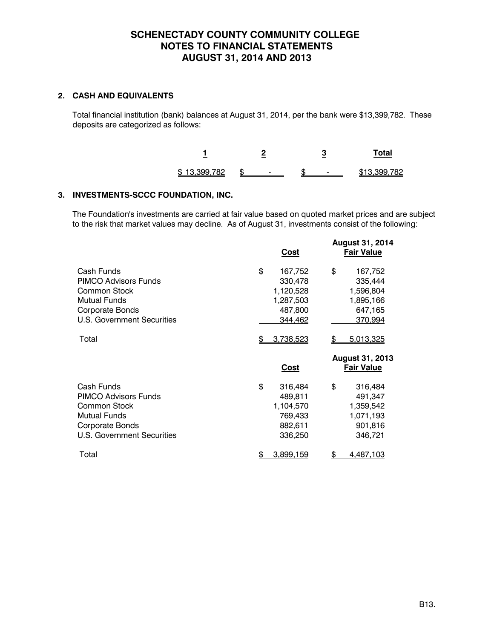### **2. CASH AND EQUIVALENTS**

Total financial institution (bank) balances at August 31, 2014, per the bank were \$13,399,782. These deposits are categorized as follows:

|              |                          |                          | Total        |
|--------------|--------------------------|--------------------------|--------------|
| \$13,399,782 | $\overline{\phantom{0}}$ | $\overline{\phantom{0}}$ | \$13,399,782 |

## **3. INVESTMENTS-SCCC FOUNDATION, INC.**

The Foundation's investments are carried at fair value based on quoted market prices and are subject to the risk that market values may decline. As of August 31, investments consist of the following:

| Cost           | <b>August 31, 2014</b><br><b>Fair Value</b> |
|----------------|---------------------------------------------|
| \$<br>167,752  | \$<br>167,752                               |
| 330,478        | 335,444                                     |
| 1,120,528      | 1,596,804                                   |
| 1,287,503      | 1,895,166                                   |
| 487,800        | 647,165                                     |
| 344,462        | 370,994                                     |
| 3,738,523<br>S | 5,013,325<br>\$                             |
| Cost           | <b>August 31, 2013</b><br><b>Fair Value</b> |
| \$<br>316,484  | \$<br>316,484                               |
| 489,811        | 491,347                                     |
| 1,104,570      | 1,359,542                                   |
| 769,433        | 1,071,193                                   |
| 882,611        | 901,816                                     |
| 336,250        | 346,721                                     |
| 3,899,159      | \$<br>4,487,103                             |
|                |                                             |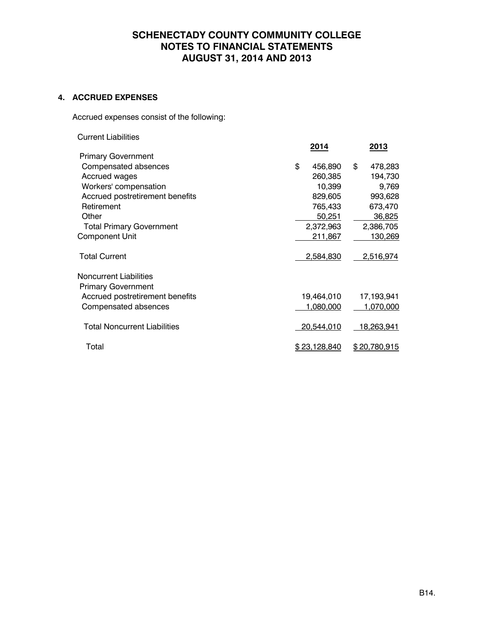## **4. ACCRUED EXPENSES**

Accrued expenses consist of the following:

| <b>Current Liabilities</b>          |                |               |
|-------------------------------------|----------------|---------------|
| <b>Primary Government</b>           | 2014           | 2013          |
| Compensated absences                | \$<br>456,890  | \$<br>478,283 |
| Accrued wages                       | 260,385        | 194,730       |
| Workers' compensation               | 10,399         | 9,769         |
| Accrued postretirement benefits     | 829,605        | 993,628       |
| Retirement                          | 765,433        | 673,470       |
| Other                               | 50,251         | <u>36,825</u> |
| <b>Total Primary Government</b>     | 2,372,963      | 2,386,705     |
| <b>Component Unit</b>               | <u>211,867</u> | 130,269       |
| <b>Total Current</b>                | 2,584,830      | 2,516,974     |
| <b>Noncurrent Liabilities</b>       |                |               |
| <b>Primary Government</b>           |                |               |
| Accrued postretirement benefits     | 19,464,010     | 17,193,941    |
| Compensated absences                | 1,080,000      | 1,070,000     |
| <b>Total Noncurrent Liabilities</b> | 20,544,010     | 18,263,941    |
| Total                               | \$23,128,840   | \$20,780,915  |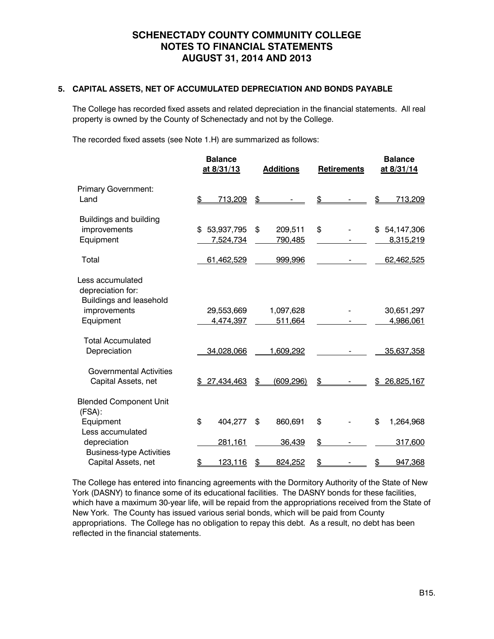## **5. CAPITAL ASSETS, NET OF ACCUMULATED DEPRECIATION AND BONDS PAYABLE**

The College has recorded fixed assets and related depreciation in the financial statements. All real property is owned by the County of Schenectady and not by the College.

The recorded fixed assets (see Note 1.H) are summarized as follows:

|                                                                         | <b>Balance</b><br>at 8/31/13 | <b>Additions</b> | <b>Retirements</b> | <b>Balance</b><br>at 8/31/14 |
|-------------------------------------------------------------------------|------------------------------|------------------|--------------------|------------------------------|
| <b>Primary Government:</b>                                              |                              |                  |                    |                              |
| Land                                                                    | $\frac{2}{3}$<br>713,209     | $\frac{1}{2}$    | \$                 | 713,209<br>\$                |
| <b>Buildings and building</b>                                           |                              |                  |                    |                              |
| improvements                                                            | 53,937,795<br>\$             | 209,511<br>\$    | \$                 | 54,147,306<br>\$             |
| Equipment                                                               | 7,524,734                    | 790,485          |                    | 8,315,219                    |
| Total                                                                   | 61,462,529                   | 999,996          |                    | 62,462,525                   |
| Less accumulated<br>depreciation for:<br><b>Buildings and leasehold</b> |                              |                  |                    |                              |
| improvements                                                            | 29,553,669                   | 1,097,628        |                    | 30,651,297                   |
| Equipment                                                               | 4,474,397                    | 511,664          |                    | 4,986,061                    |
| <b>Total Accumulated</b>                                                |                              |                  |                    |                              |
| Depreciation                                                            | 34,028,066                   | 1,609,292        |                    | 35,637,358                   |
| <b>Governmental Activities</b>                                          |                              |                  |                    |                              |
| Capital Assets, net                                                     | \$27,434,463                 | (609, 296)<br>\$ | \$                 | 26,825,167<br>\$             |
| <b>Blended Component Unit</b><br>(FSA):                                 |                              |                  |                    |                              |
| Equipment                                                               | \$<br>404,277                | 860,691<br>\$    | \$                 | \$<br>1,264,968              |
| Less accumulated                                                        |                              |                  |                    |                              |
| depreciation                                                            | 281,161                      | 36,439           | \$                 | 317,600                      |
| <b>Business-type Activities</b>                                         |                              |                  |                    |                              |
| Capital Assets, net                                                     | \$<br><u>123,116</u>         | 824,252<br>\$    | $\frac{6}{5}$      | \$<br>947,368                |

The College has entered into financing agreements with the Dormitory Authority of the State of New York (DASNY) to finance some of its educational facilities. The DASNY bonds for these facilities, which have a maximum 30-year life, will be repaid from the appropriations received from the State of New York. The County has issued various serial bonds, which will be paid from County appropriations. The College has no obligation to repay this debt. As a result, no debt has been reflected in the financial statements.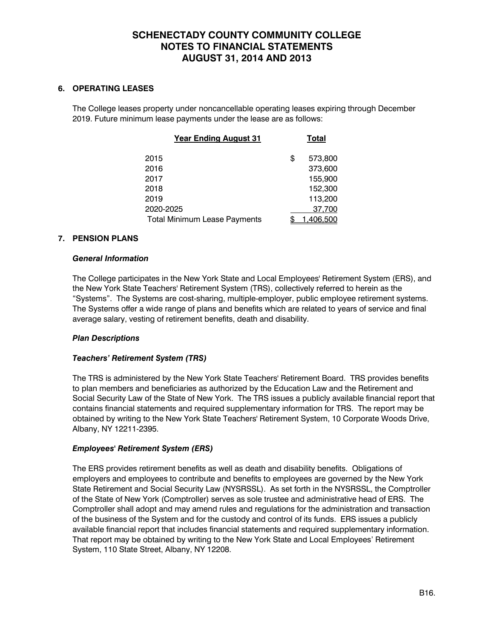### **6. OPERATING LEASES**

 The College leases property under noncancellable operating leases expiring through December 2019. Future minimum lease payments under the lease are as follows:

| <b>Year Ending August 31</b>        | Total         |
|-------------------------------------|---------------|
| 2015                                | \$<br>573,800 |
| 2016                                | 373,600       |
| 2017                                | 155,900       |
| 2018                                | 152,300       |
| 2019                                | 113,200       |
| 2020-2025                           | 37,700        |
| <b>Total Minimum Lease Payments</b> | .406.500      |
|                                     |               |

### **7. PENSION PLANS**

### *General Information*

The College participates in the New York State and Local Employees' Retirement System (ERS), and the New York State Teachers' Retirement System (TRS), collectively referred to herein as the "Systems". The Systems are cost-sharing, multiple-employer, public employee retirement systems. The Systems offer a wide range of plans and benefits which are related to years of service and final average salary, vesting of retirement benefits, death and disability.

#### *Plan Descriptions*

## *Teachers' Retirement System (TRS)*

The TRS is administered by the New York State Teachers' Retirement Board. TRS provides benefits to plan members and beneficiaries as authorized by the Education Law and the Retirement and Social Security Law of the State of New York. The TRS issues a publicly available financial report that contains financial statements and required supplementary information for TRS. The report may be obtained by writing to the New York State Teachers' Retirement System, 10 Corporate Woods Drive, Albany, NY 12211-2395.

## *Employees' Retirement System (ERS)*

The ERS provides retirement benefits as well as death and disability benefits. Obligations of employers and employees to contribute and benefits to employees are governed by the New York State Retirement and Social Security Law (NYSRSSL). As set forth in the NYSRSSL, the Comptroller of the State of New York (Comptroller) serves as sole trustee and administrative head of ERS. The Comptroller shall adopt and may amend rules and regulations for the administration and transaction of the business of the System and for the custody and control of its funds. ERS issues a publicly available financial report that includes financial statements and required supplementary information. That report may be obtained by writing to the New York State and Local Employees' Retirement System, 110 State Street, Albany, NY 12208.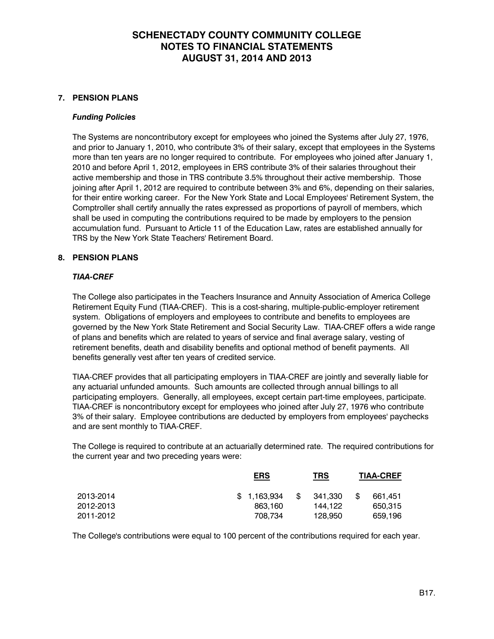## **7. PENSION PLANS**

### *Funding Policies*

The Systems are noncontributory except for employees who joined the Systems after July 27, 1976, and prior to January 1, 2010, who contribute 3% of their salary, except that employees in the Systems more than ten years are no longer required to contribute. For employees who joined after January 1, 2010 and before April 1, 2012, employees in ERS contribute 3% of their salaries throughout their active membership and those in TRS contribute 3.5% throughout their active membership. Those joining after April 1, 2012 are required to contribute between 3% and 6%, depending on their salaries, for their entire working career. For the New York State and Local Employees' Retirement System, the Comptroller shall certify annually the rates expressed as proportions of payroll of members, which shall be used in computing the contributions required to be made by employers to the pension accumulation fund. Pursuant to Article 11 of the Education Law, rates are established annually for TRS by the New York State Teachers' Retirement Board.

## **8. PENSION PLANS**

## *TIAA-CREF*

The College also participates in the Teachers Insurance and Annuity Association of America College Retirement Equity Fund (TIAA-CREF). This is a cost-sharing, multiple-public-employer retirement system. Obligations of employers and employees to contribute and benefits to employees are governed by the New York State Retirement and Social Security Law. TIAA-CREF offers a wide range of plans and benefits which are related to years of service and final average salary, vesting of retirement benefits, death and disability benefits and optional method of benefit payments. All benefits generally vest after ten years of credited service.

TIAA-CREF provides that all participating employers in TIAA-CREF are jointly and severally liable for any actuarial unfunded amounts. Such amounts are collected through annual billings to all participating employers. Generally, all employees, except certain part-time employees, participate. TIAA-CREF is noncontributory except for employees who joined after July 27, 1976 who contribute 3% of their salary. Employee contributions are deducted by employers from employees' paychecks and are sent monthly to TIAA-CREF.

The College is required to contribute at an actuarially determined rate. The required contributions for the current year and two preceding years were:

|           | <b>ERS</b>  | <b>TRS</b>    |   | <b>TIAA-CREF</b> |
|-----------|-------------|---------------|---|------------------|
| 2013-2014 | \$1.163.934 | \$<br>341.330 | S | 661.451          |
| 2012-2013 | 863,160     | 144.122       |   | 650.315          |
| 2011-2012 | 708.734     | 128,950       |   | 659.196          |

The College's contributions were equal to 100 percent of the contributions required for each year.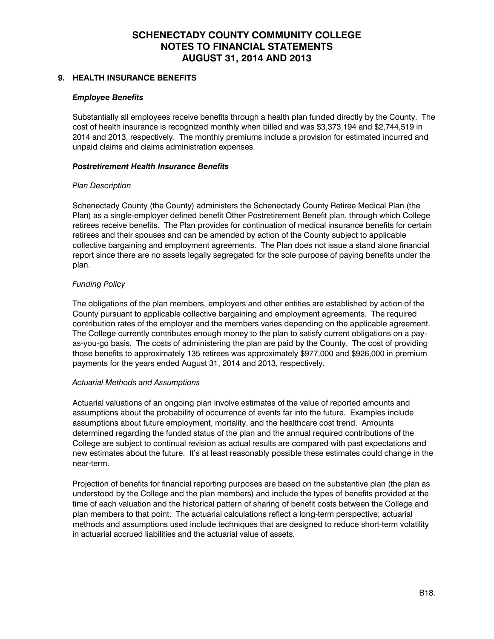#### **9. HEALTH INSURANCE BENEFITS**

#### *Employee Benefits*

Substantially all employees receive benefits through a health plan funded directly by the County. The cost of health insurance is recognized monthly when billed and was \$3,373,194 and \$2,744,519 in 2014 and 2013, respectively. The monthly premiums include a provision for estimated incurred and unpaid claims and claims administration expenses.

#### *Postretirement Health Insurance Benefits*

#### *Plan Description*

Schenectady County (the County) administers the Schenectady County Retiree Medical Plan (the Plan) as a single-employer defined benefit Other Postretirement Benefit plan, through which College retirees receive benefits. The Plan provides for continuation of medical insurance benefits for certain retirees and their spouses and can be amended by action of the County subject to applicable collective bargaining and employment agreements. The Plan does not issue a stand alone financial report since there are no assets legally segregated for the sole purpose of paying benefits under the plan.

#### *Funding Policy*

The obligations of the plan members, employers and other entities are established by action of the County pursuant to applicable collective bargaining and employment agreements. The required contribution rates of the employer and the members varies depending on the applicable agreement. The College currently contributes enough money to the plan to satisfy current obligations on a payas-you-go basis. The costs of administering the plan are paid by the County. The cost of providing those benefits to approximately 135 retirees was approximately \$977,000 and \$926,000 in premium payments for the years ended August 31, 2014 and 2013, respectively.

#### *Actuarial Methods and Assumptions*

Actuarial valuations of an ongoing plan involve estimates of the value of reported amounts and assumptions about the probability of occurrence of events far into the future. Examples include assumptions about future employment, mortality, and the healthcare cost trend. Amounts determined regarding the funded status of the plan and the annual required contributions of the College are subject to continual revision as actual results are compared with past expectations and new estimates about the future. It's at least reasonably possible these estimates could change in the near-term.

Projection of benefits for financial reporting purposes are based on the substantive plan (the plan as understood by the College and the plan members) and include the types of benefits provided at the time of each valuation and the historical pattern of sharing of benefit costs between the College and plan members to that point. The actuarial calculations reflect a long-term perspective; actuarial methods and assumptions used include techniques that are designed to reduce short-term volatility in actuarial accrued liabilities and the actuarial value of assets.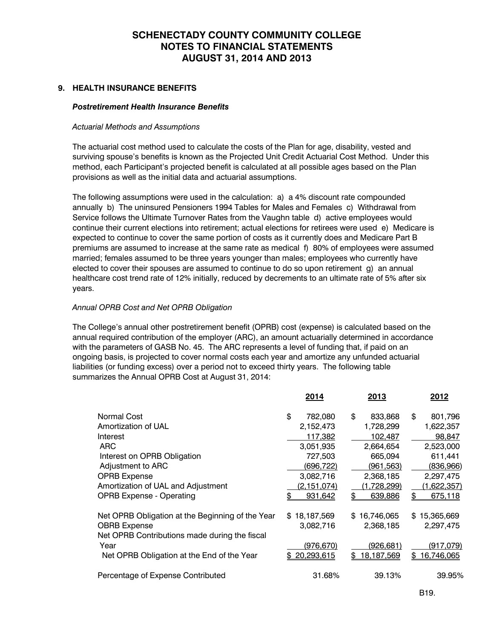### **9. HEALTH INSURANCE BENEFITS**

#### *Postretirement Health Insurance Benefits*

#### *Actuarial Methods and Assumptions*

The actuarial cost method used to calculate the costs of the Plan for age, disability, vested and surviving spouse's benefits is known as the Projected Unit Credit Actuarial Cost Method. Under this method, each Participant's projected benefit is calculated at all possible ages based on the Plan provisions as well as the initial data and actuarial assumptions.

The following assumptions were used in the calculation: a) a 4% discount rate compounded annually b) The uninsured Pensioners 1994 Tables for Males and Females c) Withdrawal from Service follows the Ultimate Turnover Rates from the Vaughn table d) active employees would continue their current elections into retirement; actual elections for retirees were used e) Medicare is expected to continue to cover the same portion of costs as it currently does and Medicare Part B premiums are assumed to increase at the same rate as medical f) 80% of employees were assumed married; females assumed to be three years younger than males; employees who currently have elected to cover their spouses are assumed to continue to do so upon retirement g) an annual healthcare cost trend rate of 12% initially, reduced by decrements to an ultimate rate of 5% after six years.

#### *Annual OPRB Cost and Net OPRB Obligation*

The College's annual other postretirement benefit (OPRB) cost (expense) is calculated based on the annual required contribution of the employer (ARC), an amount actuarially determined in accordance with the parameters of GASB No. 45. The ARC represents a level of funding that, if paid on an ongoing basis, is projected to cover normal costs each year and amortize any unfunded actuarial liabilities (or funding excess) over a period not to exceed thirty years. The following table summarizes the Annual OPRB Cost at August 31, 2014:

|                                                  | 2014               | 2013               | 2012               |
|--------------------------------------------------|--------------------|--------------------|--------------------|
| Normal Cost                                      | \$<br>782,080      | \$<br>833,868      | \$<br>801,796      |
| Amortization of UAL                              | 2,152,473          | 1,728,299          | 1,622,357          |
| Interest                                         | 117,382            | 102,487            | 98,847             |
| <b>ARC</b>                                       | 3,051,935          | 2,664,654          | 2,523,000          |
| Interest on OPRB Obligation                      | 727,503            | 665,094            | 611,441            |
| Adjustment to ARC                                | (696,722)          | (961,563)          | (836,966)          |
| <b>OPRB Expense</b>                              | 3,082,716          | 2,368,185          | 2,297,475          |
| Amortization of UAL and Adjustment               | <u>(2,151,074)</u> | <u>(1,728,299)</u> | <u>(1,622,357)</u> |
| <b>OPRB Expense - Operating</b>                  | 931,642            | 639,886<br>\$      | 675,118<br>\$      |
| Net OPRB Obligation at the Beginning of the Year | 18,187,569<br>\$   | \$16,746,065       | \$15,365,669       |
| <b>OBRB</b> Expense                              | 3,082,716          | 2,368,185          | 2,297,475          |
| Net OPRB Contributions made during the fiscal    |                    |                    |                    |
| Year                                             | (976,670)          | (926,681)          | (917, 079)         |
| Net OPRB Obligation at the End of the Year       | \$20,293,615       | \$18,187,569       | 16,746,065<br>\$   |
| Percentage of Expense Contributed                | 31.68%             | 39.13%             | 39.95%             |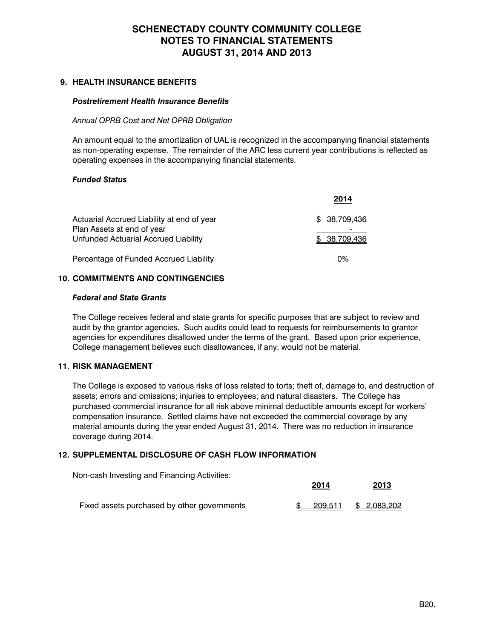### **9. HEALTH INSURANCE BENEFITS**

#### *Postretirement Health Insurance Benefits*

#### *Annual OPRB Cost and Net OPRB Obligation*

An amount equal to the amortization of UAL is recognized in the accompanying financial statements as non-operating expense. The remainder of the ARC less current year contributions is reflected as operating expenses in the accompanying financial statements.

#### *Funded Status*

|                                            | 2014          |
|--------------------------------------------|---------------|
| Actuarial Accrued Liability at end of year | \$ 38,709,436 |
| Plan Assets at end of year                 |               |
| Unfunded Actuarial Accrued Liability       | \$38,709,436  |
| Percentage of Funded Accrued Liability     | 0%            |

### **10. COMMITMENTS AND CONTINGENCIES**

### *Federal and State Grants*

The College receives federal and state grants for specific purposes that are subject to review and audit by the grantor agencies. Such audits could lead to requests for reimbursements to grantor agencies for expenditures disallowed under the terms of the grant. Based upon prior experience, College management believes such disallowances, if any, would not be material.

### **11. RISK MANAGEMENT**

The College is exposed to various risks of loss related to torts; theft of, damage to, and destruction of assets; errors and omissions; injuries to employees; and natural disasters. The College has purchased commercial insurance for all risk above minimal deductible amounts except for workers' compensation insurance. Settled claims have not exceeded the commercial coverage by any material amounts during the year ended August 31, 2014. There was no reduction in insurance coverage during 2014.

### **12. SUPPLEMENTAL DISCLOSURE OF CASH FLOW INFORMATION**

| Non-cash Investing and Financing Activities: |         |              |
|----------------------------------------------|---------|--------------|
|                                              | 2014    | 2013         |
| Fixed assets purchased by other governments  | 209.511 | \$ 2.083.202 |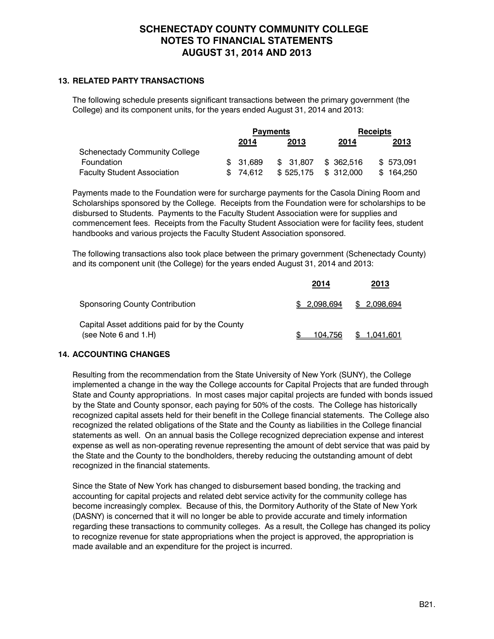### **13. RELATED PARTY TRANSACTIONS**

The following schedule presents significant transactions between the primary government (the College) and its component units, for the years ended August 31, 2014 and 2013:

|                                      | <b>Payments</b> |      | <b>Receipts</b>       |               |
|--------------------------------------|-----------------|------|-----------------------|---------------|
|                                      | 2014            | 2013 | 2014                  | 2013          |
| <b>Schenectady Community College</b> |                 |      |                       |               |
| Foundation                           | \$31.689        |      | $$31,807$ $$362,516$  | \$573.091     |
| <b>Faculty Student Association</b>   | \$74.612        |      | $$525,175$ $$312,000$ | 164.250<br>\$ |

Payments made to the Foundation were for surcharge payments for the Casola Dining Room and Scholarships sponsored by the College. Receipts from the Foundation were for scholarships to be disbursed to Students. Payments to the Faculty Student Association were for supplies and commencement fees. Receipts from the Faculty Student Association were for facility fees, student handbooks and various projects the Faculty Student Association sponsored.

The following transactions also took place between the primary government (Schenectady County) and its component unit (the College) for the years ended August 31, 2014 and 2013:

|                                                                        | 2014      | 2013             |
|------------------------------------------------------------------------|-----------|------------------|
| <b>Sponsoring County Contribution</b>                                  | 2,098,694 | \$ 2.098.694     |
| Capital Asset additions paid for by the County<br>(see Note 6 and 1.H) | 104.756   | \$.<br>1.041.601 |

## **14. ACCOUNTING CHANGES**

Resulting from the recommendation from the State University of New York (SUNY), the College implemented a change in the way the College accounts for Capital Projects that are funded through State and County appropriations. In most cases major capital projects are funded with bonds issued by the State and County sponsor, each paying for 50% of the costs. The College has historically recognized capital assets held for their benefit in the College financial statements. The College also recognized the related obligations of the State and the County as liabilities in the College financial statements as well. On an annual basis the College recognized depreciation expense and interest expense as well as non-operating revenue representing the amount of debt service that was paid by the State and the County to the bondholders, thereby reducing the outstanding amount of debt recognized in the financial statements.

Since the State of New York has changed to disbursement based bonding, the tracking and accounting for capital projects and related debt service activity for the community college has become increasingly complex. Because of this, the Dormitory Authority of the State of New York (DASNY) is concerned that it will no longer be able to provide accurate and timely information regarding these transactions to community colleges. As a result, the College has changed its policy to recognize revenue for state appropriations when the project is approved, the appropriation is made available and an expenditure for the project is incurred.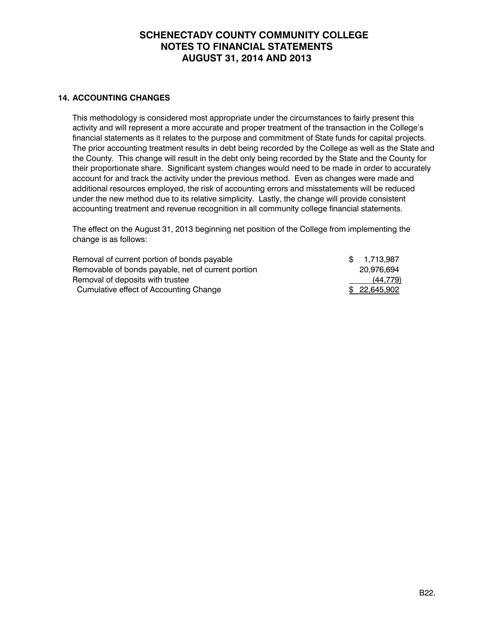## **14. ACCOUNTING CHANGES**

This methodology is considered most appropriate under the circumstances to fairly present this activity and will represent a more accurate and proper treatment of the transaction in the College's financial statements as it relates to the purpose and commitment of State funds for capital projects. The prior accounting treatment results in debt being recorded by the College as well as the State and the County. This change will result in the debt only being recorded by the State and the County for their proportionate share. Significant system changes would need to be made in order to accurately account for and track the activity under the previous method. Even as changes were made and additional resources employed, the risk of accounting errors and misstatements will be reduced under the new method due to its relative simplicity. Lastly, the change will provide consistent accounting treatment and revenue recognition in all community college financial statements.

The effect on the August 31, 2013 beginning net position of the College from implementing the change is as follows:

| Removal of current portion of bonds payable        | \$1.713.987  |
|----------------------------------------------------|--------------|
| Removable of bonds payable, net of current portion | 20.976.694   |
| Removal of deposits with trustee                   | (44,779)     |
| Cumulative effect of Accounting Change             | \$22,645,902 |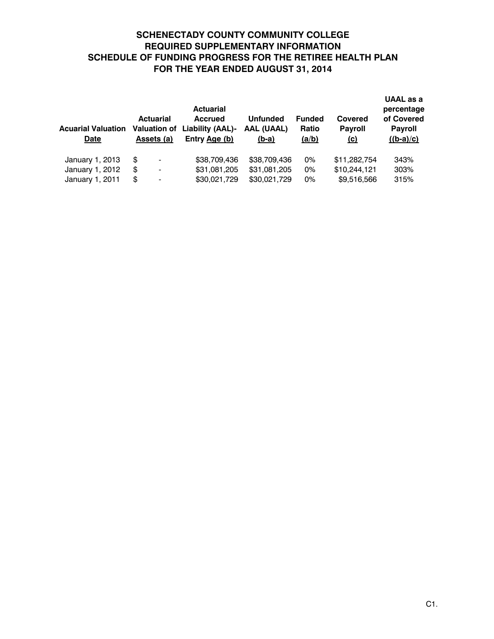## **SCHENECTADY COUNTY COMMUNITY COLLEGE REQUIRED SUPPLEMENTARY INFORMATION SCHEDULE OF FUNDING PROGRESS FOR THE RETIREE HEALTH PLAN FOR THE YEAR ENDED AUGUST 31, 2014**

| <b>Acuarial Valuation</b><br><b>Date</b> |    | Actuarial<br><b>Valuation of</b><br>Assets (a) | <b>Actuarial</b><br><b>Accrued</b><br>Liability (AAL)-<br>Entry Age (b) | Unfunded<br>AAL (UAAL)<br>(b-a) | <b>Funded</b><br>Ratio<br><u>(a/b)</u> | Covered<br><b>Payroll</b><br><u>(c)</u> | UAAL as a<br>percentage<br>of Covered<br><b>Payroll</b><br>$((b-a)/c)$ |
|------------------------------------------|----|------------------------------------------------|-------------------------------------------------------------------------|---------------------------------|----------------------------------------|-----------------------------------------|------------------------------------------------------------------------|
| January 1, 2013                          | S  | ٠                                              | \$38,709,436                                                            | \$38,709,436                    | 0%                                     | \$11.282.754                            | 343%                                                                   |
| January 1, 2012                          | \$ | $\overline{\phantom{a}}$                       | \$31,081,205                                                            | \$31,081,205                    | 0%                                     | \$10,244,121                            | 303%                                                                   |
| January 1, 2011                          | \$ | $\overline{\phantom{a}}$                       | \$30,021,729                                                            | \$30,021,729                    | 0%                                     | \$9,516,566                             | 315%                                                                   |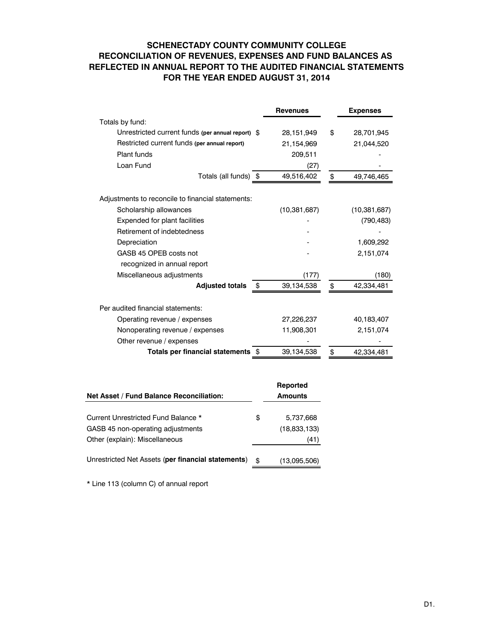## **SCHENECTADY COUNTY COMMUNITY COLLEGE RECONCILIATION OF REVENUES, EXPENSES AND FUND BALANCES AS REFLECTED IN ANNUAL REPORT TO THE AUDITED FINANCIAL STATEMENTS FOR THE YEAR ENDED AUGUST 31, 2014**

|                                                   | <b>Revenues</b>  | <b>Expenses</b>  |
|---------------------------------------------------|------------------|------------------|
| Totals by fund:                                   |                  |                  |
| Unrestricted current funds (per annual report) \$ | 28,151,949       | \$<br>28,701,945 |
| Restricted current funds (per annual report)      | 21,154,969       | 21,044,520       |
| Plant funds                                       | 209,511          |                  |
| Loan Fund                                         | (27)             |                  |
| Totals (all funds) \$                             | 49,516,402       | \$<br>49,746,465 |
| Adjustments to reconcile to financial statements: |                  |                  |
| Scholarship allowances                            | (10, 381, 687)   | (10, 381, 687)   |
| <b>Expended for plant facilities</b>              |                  | (790, 483)       |
| Retirement of indebtedness                        |                  |                  |
| Depreciation                                      |                  | 1,609,292        |
| GASB 45 OPEB costs not                            |                  | 2,151,074        |
| recognized in annual report                       |                  |                  |
| Miscellaneous adjustments                         | (177)            | (180)            |
| <b>Adjusted totals</b>                            | \$<br>39,134,538 | \$<br>42,334,481 |
| Per audited financial statements:                 |                  |                  |
| Operating revenue / expenses                      | 27,226,237       | 40,183,407       |
| Nonoperating revenue / expenses                   | 11,908,301       | 2,151,074        |
| Other revenue / expenses                          |                  |                  |
| Totals per financial statements \$                | 39,134,538       | \$<br>42,334,481 |
|                                                   |                  |                  |

| Net Asset / Fund Balance Reconciliation:           | Reported<br>Amounts |
|----------------------------------------------------|---------------------|
|                                                    |                     |
| Current Unrestricted Fund Balance *                | \$<br>5.737.668     |
| GASB 45 non-operating adjustments                  | (18, 833, 133)      |
| Other (explain): Miscellaneous                     | (41)                |
|                                                    |                     |
| Unrestricted Net Assets (per financial statements) | \$<br>(13,095,506)  |

\* Line 113 (column C) of annual report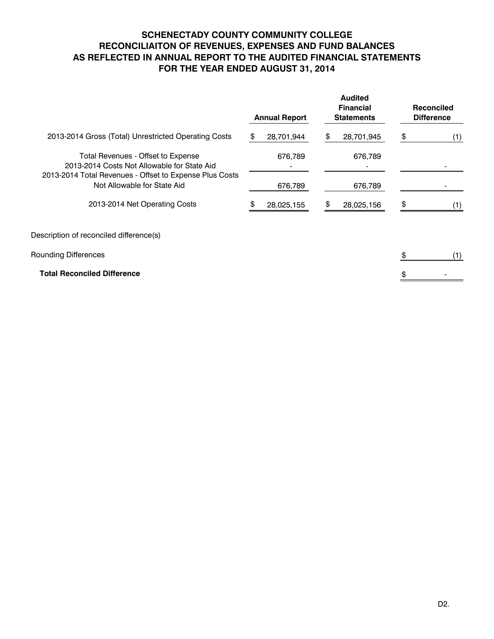## **SCHENECTADY COUNTY COMMUNITY COLLEGE RECONCILIAITON OF REVENUES, EXPENSES AND FUND BALANCES AS REFLECTED IN ANNUAL REPORT TO THE AUDITED FINANCIAL STATEMENTS FOR THE YEAR ENDED AUGUST 31, 2014**

|     |            |                      | <b>Audited</b><br><b>Financial</b><br><b>Statements</b> |    | Reconciled<br><b>Difference</b> |
|-----|------------|----------------------|---------------------------------------------------------|----|---------------------------------|
| \$. | 28,701,944 | \$                   | 28,701,945                                              | \$ | (1)                             |
|     | 676,789    |                      | 676,789                                                 |    |                                 |
|     | 676,789    |                      | 676,789                                                 |    |                                 |
| S   | 28,025,155 | \$                   | 28,025,156                                              | \$ |                                 |
|     |            |                      |                                                         |    |                                 |
|     |            |                      |                                                         | \$ | (1)                             |
|     |            |                      |                                                         |    |                                 |
|     |            | <b>Annual Report</b> |                                                         |    |                                 |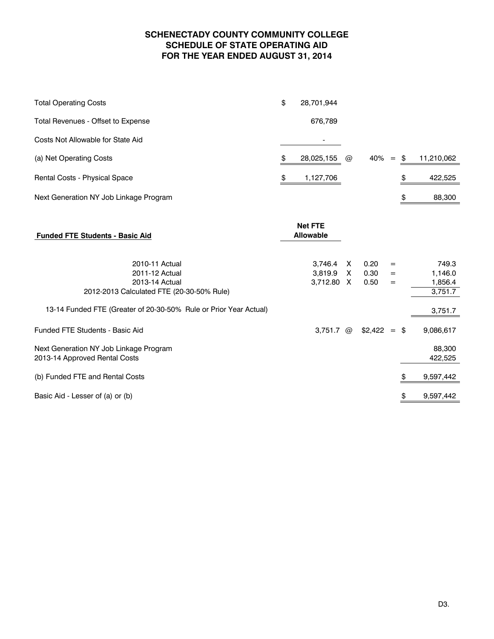## **SCHENECTADY COUNTY COMMUNITY COLLEGE SCHEDULE OF STATE OPERATING AID FOR THE YEAR ENDED AUGUST 31, 2014**

| <b>Total Operating Costs</b>                                                                    | \$<br>28,701,944                   |                      |                      |                   |      |                                        |
|-------------------------------------------------------------------------------------------------|------------------------------------|----------------------|----------------------|-------------------|------|----------------------------------------|
| Total Revenues - Offset to Expense                                                              | 676,789                            |                      |                      |                   |      |                                        |
| Costs Not Allowable for State Aid                                                               |                                    |                      |                      |                   |      |                                        |
| (a) Net Operating Costs                                                                         | 28,025,155                         | $^{\textregistered}$ | 40%                  | $=$               | \$   | 11,210,062                             |
| Rental Costs - Physical Space                                                                   | \$<br>1,127,706                    |                      |                      |                   | \$   | 422,525                                |
| Next Generation NY Job Linkage Program                                                          |                                    |                      |                      |                   | \$   | 88,300                                 |
| <b>Funded FTE Students - Basic Aid</b>                                                          | <b>Net FTE</b><br><b>Allowable</b> |                      |                      |                   |      |                                        |
| 2010-11 Actual<br>2011-12 Actual<br>2013-14 Actual<br>2012-2013 Calculated FTE (20-30-50% Rule) | 3,746.4<br>3,819.9<br>3,712.80     | X<br>X<br>X          | 0.20<br>0.30<br>0.50 | $=$<br>$=$<br>$=$ |      | 749.3<br>1,146.0<br>1,856.4<br>3,751.7 |
| 13-14 Funded FTE (Greater of 20-30-50% Rule or Prior Year Actual)                               |                                    |                      |                      |                   |      | 3,751.7                                |
| Funded FTE Students - Basic Aid                                                                 | 3,751.7 $@$                        |                      | \$2,422              | $=$               | - \$ | 9,086,617                              |
| Next Generation NY Job Linkage Program<br>2013-14 Approved Rental Costs                         |                                    |                      |                      |                   |      | 88,300<br>422,525                      |
| (b) Funded FTE and Rental Costs                                                                 |                                    |                      |                      |                   | \$   | 9,597,442                              |
| Basic Aid - Lesser of (a) or (b)                                                                |                                    |                      |                      |                   | \$   | 9,597,442                              |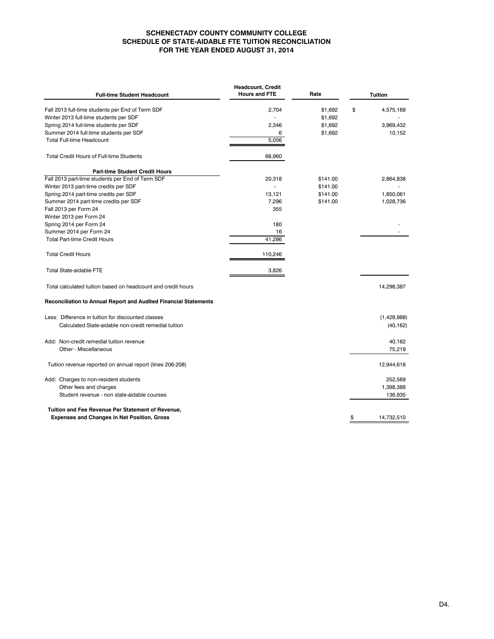#### **SCHENECTADY COUNTY COMMUNITY COLLEGE SCHEDULE OF STATE-AIDABLE FTE TUITION RECONCILIATION FOR THE YEAR ENDED AUGUST 31, 2014**

|                                                                  | <b>Headcount, Credit</b> |          |                  |
|------------------------------------------------------------------|--------------------------|----------|------------------|
| <b>Full-time Student Headcount</b>                               | <b>Hours and FTE</b>     | Rate     | <b>Tuition</b>   |
| Fall 2013 full-time students per End of Term SDF                 | 2,704                    | \$1,692  | \$<br>4,575,168  |
| Winter 2013 full-time students per SDF                           |                          | \$1,692  |                  |
| Spring 2014 full-time students per SDF                           | 2,346                    | \$1,692  | 3,969,432        |
| Summer 2014 full-time students per SDF                           | 6                        | \$1,692  | 10,152           |
| <b>Total Full-time Headcount</b>                                 | 5.056                    |          |                  |
| <b>Total Credit Hours of Full-time Students</b>                  | 68,960                   |          |                  |
| <b>Part-time Student Credit Hours</b>                            |                          |          |                  |
| Fall 2013 part-time students per End of Term SDF                 | 20,318                   | \$141.00 | 2,864,838        |
| Winter 2013 part-time credits per SDF                            |                          | \$141.00 |                  |
| Spring 2014 part-time credits per SDF                            | 13.121                   | \$141.00 | 1,850,061        |
| Summer 2014 part-time credits per SDF                            | 7,296                    | \$141.00 | 1,028,736        |
| Fall 2013 per Form 24                                            | 355                      |          |                  |
| Winter 2013 per Form 24                                          |                          |          |                  |
| Spring 2014 per Form 24                                          | 180                      |          |                  |
| Summer 2014 per Form 24                                          | 16                       |          |                  |
| <b>Total Part-time Credit Hours</b>                              | 41,286                   |          |                  |
| <b>Total Credit Hours</b>                                        | 110,246                  |          |                  |
| <b>Total State-aidable FTE</b>                                   | 3,826                    |          |                  |
| Total calculated tuition based on headcount and credit hours     |                          |          | 14,298,387       |
| Reconciliation to Annual Report and Audited Financial Statements |                          |          |                  |
| Less: Difference in tuition for discounted classes               |                          |          | (1,428,988)      |
| Calculated State-aidable non-credit remedial tuition             |                          |          | (40, 162)        |
| Add: Non-credit remedial tuition revenue                         |                          |          | 40,162           |
| Other - Miscellaneous                                            |                          |          | 75,219           |
| Tuition revenue reported on annual report (lines 206-208)        |                          |          | 12,944,618       |
| Add: Charges to non-resident students                            |                          |          | 252,569          |
| Other fees and charges                                           |                          |          | 1,398,388        |
| Student revenue - non state-aidable courses                      |                          |          | 136,935          |
| Tuition and Fee Revenue Per Statement of Revenue,                |                          |          |                  |
| <b>Expenses and Changes in Net Position, Gross</b>               |                          |          | \$<br>14,732,510 |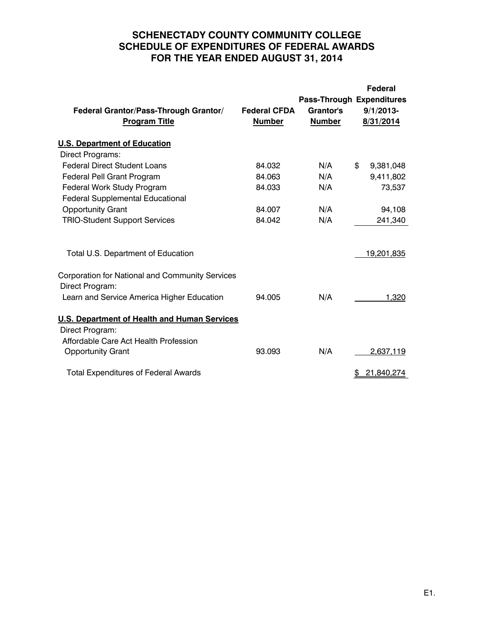# **SCHENECTADY COUNTY COMMUNITY COLLEGE SCHEDULE OF EXPENDITURES OF FEDERAL AWARDS FOR THE YEAR ENDED AUGUST 31, 2014**

| Federal Grantor/Pass-Through Grantor/<br><b>Program Title</b>             | <b>Federal CFDA</b><br><b>Number</b> | <b>Pass-Through Expenditures</b><br>Grantor's<br><b>Number</b> | <b>Federal</b><br>$9/1/2013-$<br>8/31/2014 |
|---------------------------------------------------------------------------|--------------------------------------|----------------------------------------------------------------|--------------------------------------------|
| <b>U.S. Department of Education</b>                                       |                                      |                                                                |                                            |
| Direct Programs:                                                          |                                      |                                                                |                                            |
| <b>Federal Direct Student Loans</b>                                       | 84.032                               | N/A                                                            | \$<br>9,381,048                            |
| Federal Pell Grant Program                                                | 84.063                               | N/A                                                            | 9,411,802                                  |
| Federal Work Study Program                                                | 84.033                               | N/A                                                            | 73,537                                     |
| <b>Federal Supplemental Educational</b>                                   |                                      |                                                                |                                            |
| <b>Opportunity Grant</b>                                                  | 84.007                               | N/A                                                            | 94,108                                     |
| <b>TRIO-Student Support Services</b>                                      | 84.042                               | N/A                                                            | 241,340                                    |
| Total U.S. Department of Education                                        |                                      |                                                                | 19,201,835                                 |
| <b>Corporation for National and Community Services</b><br>Direct Program: |                                      |                                                                |                                            |
| Learn and Service America Higher Education                                | 94.005                               | N/A                                                            | 1,320                                      |
|                                                                           |                                      |                                                                |                                            |
| <b>U.S. Department of Health and Human Services</b>                       |                                      |                                                                |                                            |
| Direct Program:                                                           |                                      |                                                                |                                            |
| Affordable Care Act Health Profession                                     |                                      |                                                                |                                            |
| <b>Opportunity Grant</b>                                                  | 93.093                               | N/A                                                            | 2,637,119                                  |
| <b>Total Expenditures of Federal Awards</b>                               |                                      |                                                                | 21,840,274<br>\$                           |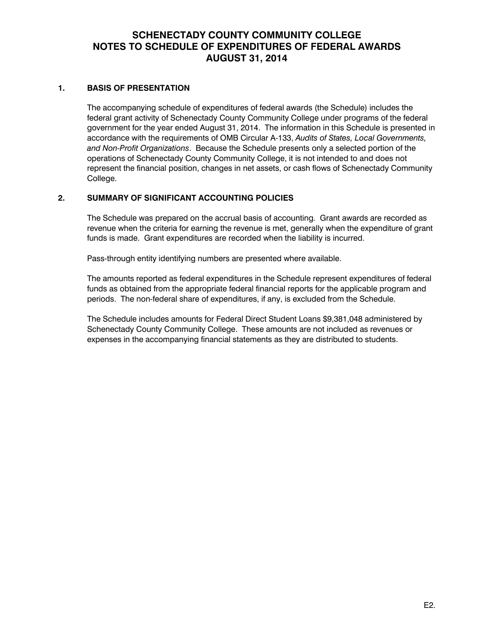## **SCHENECTADY COUNTY COMMUNITY COLLEGE NOTES TO SCHEDULE OF EXPENDITURES OF FEDERAL AWARDS AUGUST 31, 2014**

### **1. BASIS OF PRESENTATION**

The accompanying schedule of expenditures of federal awards (the Schedule) includes the federal grant activity of Schenectady County Community College under programs of the federal government for the year ended August 31, 2014. The information in this Schedule is presented in accordance with the requirements of OMB Circular A-133, *Audits of States, Local Governments, and Non-Profit Organizations*. Because the Schedule presents only a selected portion of the operations of Schenectady County Community College, it is not intended to and does not represent the financial position, changes in net assets, or cash flows of Schenectady Community College.

## **2. SUMMARY OF SIGNIFICANT ACCOUNTING POLICIES**

The Schedule was prepared on the accrual basis of accounting. Grant awards are recorded as revenue when the criteria for earning the revenue is met, generally when the expenditure of grant funds is made. Grant expenditures are recorded when the liability is incurred.

Pass-through entity identifying numbers are presented where available.

The amounts reported as federal expenditures in the Schedule represent expenditures of federal funds as obtained from the appropriate federal financial reports for the applicable program and periods. The non-federal share of expenditures, if any, is excluded from the Schedule.

The Schedule includes amounts for Federal Direct Student Loans \$9,381,048 administered by Schenectady County Community College. These amounts are not included as revenues or expenses in the accompanying financial statements as they are distributed to students.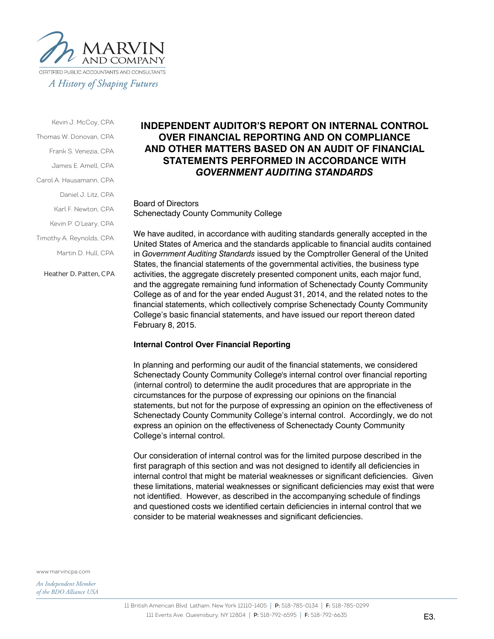

Kevin J. McCoy, CPA Thomas W. Donovan, CPA Frank S. Venezia, CPA James E. Amell, CPA Carol A. Hausamann, CPA Daniel J. Litz, CPA Karl F. Newton, CPA

Kevin P. O'Leary, CPA

Timothy A. Reynolds, CPA

Martin D. Hull, CPA

Heather D. Patten, CPA

## **INDEPENDENT AUDITOR'S REPORT ON INTERNAL CONTROL OVER FINANCIAL REPORTING AND ON COMPLIANCE AND OTHER MATTERS BASED ON AN AUDIT OF FINANCIAL STATEMENTS PERFORMED IN ACCORDANCE WITH**  *GOVERNMENT AUDITING STANDARDS*

Board of Directors Schenectady County Community College

We have audited, in accordance with auditing standards generally accepted in the United States of America and the standards applicable to financial audits contained in *Government Auditing Standards* issued by the Comptroller General of the United States, the financial statements of the governmental activities, the business type activities, the aggregate discretely presented component units, each major fund, and the aggregate remaining fund information of Schenectady County Community College as of and for the year ended August 31, 2014, and the related notes to the financial statements, which collectively comprise Schenectady County Community College's basic financial statements, and have issued our report thereon dated February 8, 2015.

## **Internal Control Over Financial Reporting**

In planning and performing our audit of the financial statements, we considered Schenectady County Community College's internal control over financial reporting (internal control) to determine the audit procedures that are appropriate in the circumstances for the purpose of expressing our opinions on the financial statements, but not for the purpose of expressing an opinion on the effectiveness of Schenectady County Community College's internal control. Accordingly, we do not express an opinion on the effectiveness of Schenectady County Community College's internal control.

Our consideration of internal control was for the limited purpose described in the first paragraph of this section and was not designed to identify all deficiencies in internal control that might be material weaknesses or significant deficiencies. Given these limitations, material weaknesses or significant deficiencies may exist that were not identified. However, as described in the accompanying schedule of findings and questioned costs we identified certain deficiencies in internal control that we consider to be material weaknesses and significant deficiencies.

www.marvincpa.com

*An Independent Member of the BDO Alliance USA*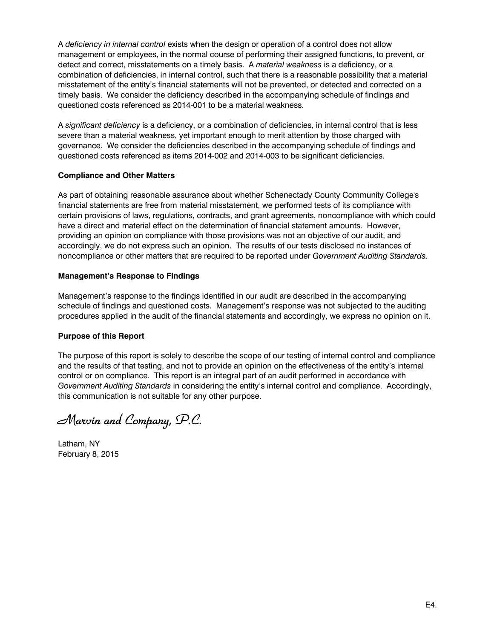A *deficiency in internal control* exists when the design or operation of a control does not allow management or employees, in the normal course of performing their assigned functions, to prevent, or detect and correct, misstatements on a timely basis. A *material weakness* is a deficiency, or a combination of deficiencies, in internal control, such that there is a reasonable possibility that a material misstatement of the entity's financial statements will not be prevented, or detected and corrected on a timely basis. We consider the deficiency described in the accompanying schedule of findings and questioned costs referenced as 2014-001 to be a material weakness.

A *significant deficiency* is a deficiency, or a combination of deficiencies, in internal control that is less severe than a material weakness, yet important enough to merit attention by those charged with governance. We consider the deficiencies described in the accompanying schedule of findings and questioned costs referenced as items 2014-002 and 2014-003 to be significant deficiencies.

## **Compliance and Other Matters**

As part of obtaining reasonable assurance about whether Schenectady County Community College's financial statements are free from material misstatement, we performed tests of its compliance with certain provisions of laws, regulations, contracts, and grant agreements, noncompliance with which could have a direct and material effect on the determination of financial statement amounts. However, providing an opinion on compliance with those provisions was not an objective of our audit, and accordingly, we do not express such an opinion. The results of our tests disclosed no instances of noncompliance or other matters that are required to be reported under *Government Auditing Standards*.

## **Management's Response to Findings**

Management's response to the findings identified in our audit are described in the accompanying schedule of findings and questioned costs. Management's response was not subjected to the auditing procedures applied in the audit of the financial statements and accordingly, we express no opinion on it.

## **Purpose of this Report**

The purpose of this report is solely to describe the scope of our testing of internal control and compliance and the results of that testing, and not to provide an opinion on the effectiveness of the entity's internal control or on compliance. This report is an integral part of an audit performed in accordance with *Government Auditing Standards* in considering the entity's internal control and compliance. Accordingly, this communication is not suitable for any other purpose.

Marvin and Company, P.C.

Latham, NY February 8, 2015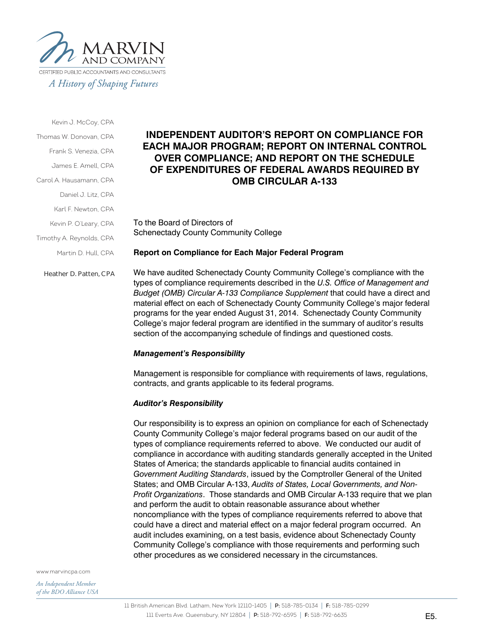

Kevin J. McCoy, CPA Thomas W. Donovan, CPA Frank S. Venezia, CPA James E. Amell, CPA Carol A. Hausamann, CPA Daniel J. Litz, CPA Karl F. Newton, CPA

## Kevin P. O'Leary, CPA

Timothy A. Reynolds, CPA

Martin D. Hull, CPA

Heather D. Patten, CPA

# **INDEPENDENT AUDITOR'S REPORT ON COMPLIANCE FOR EACH MAJOR PROGRAM; REPORT ON INTERNAL CONTROL OVER COMPLIANCE; AND REPORT ON THE SCHEDULE OF EXPENDITURES OF FEDERAL AWARDS REQUIRED BY OMB CIRCULAR A-133**

To the Board of Directors of Schenectady County Community College

#### **Report on Compliance for Each Major Federal Program**

We have audited Schenectady County Community College's compliance with the types of compliance requirements described in the *U.S. Office of Management and Budget (OMB) Circular A-133 Compliance Supplement* that could have a direct and material effect on each of Schenectady County Community College's major federal programs for the year ended August 31, 2014. Schenectady County Community College's major federal program are identified in the summary of auditor's results section of the accompanying schedule of findings and questioned costs.

#### *Management's Responsibility*

Management is responsible for compliance with requirements of laws, regulations, contracts, and grants applicable to its federal programs.

## *Auditor's Responsibility*

Our responsibility is to express an opinion on compliance for each of Schenectady County Community College's major federal programs based on our audit of the types of compliance requirements referred to above. We conducted our audit of compliance in accordance with auditing standards generally accepted in the United States of America; the standards applicable to financial audits contained in *Government Auditing Standards*, issued by the Comptroller General of the United States; and OMB Circular A-133, *Audits of States, Local Governments, and Non-Profit Organizations*. Those standards and OMB Circular A-133 require that we plan and perform the audit to obtain reasonable assurance about whether noncompliance with the types of compliance requirements referred to above that could have a direct and material effect on a major federal program occurred. An audit includes examining, on a test basis, evidence about Schenectady County Community College's compliance with those requirements and performing such other procedures as we considered necessary in the circumstances.

www.marvincpa.com

*An Independent Member of the BDO Alliance USA*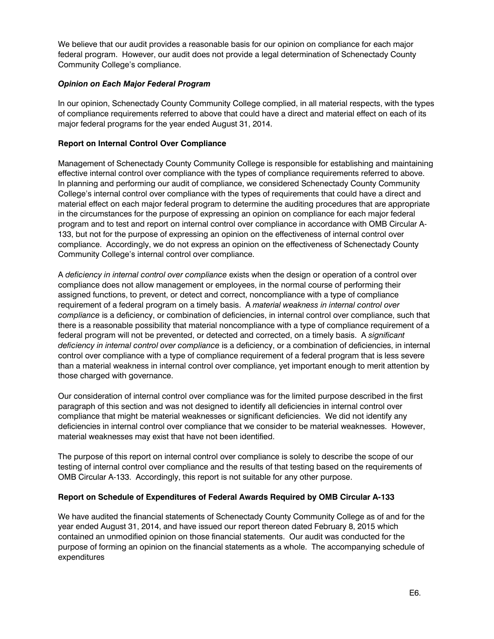We believe that our audit provides a reasonable basis for our opinion on compliance for each major federal program. However, our audit does not provide a legal determination of Schenectady County Community College's compliance.

### *Opinion on Each Major Federal Program*

In our opinion, Schenectady County Community College complied, in all material respects, with the types of compliance requirements referred to above that could have a direct and material effect on each of its major federal programs for the year ended August 31, 2014.

## **Report on Internal Control Over Compliance**

Management of Schenectady County Community College is responsible for establishing and maintaining effective internal control over compliance with the types of compliance requirements referred to above. In planning and performing our audit of compliance, we considered Schenectady County Community College's internal control over compliance with the types of requirements that could have a direct and material effect on each major federal program to determine the auditing procedures that are appropriate in the circumstances for the purpose of expressing an opinion on compliance for each major federal program and to test and report on internal control over compliance in accordance with OMB Circular A-133, but not for the purpose of expressing an opinion on the effectiveness of internal control over compliance. Accordingly, we do not express an opinion on the effectiveness of Schenectady County Community College's internal control over compliance.

A *deficiency in internal control over compliance* exists when the design or operation of a control over compliance does not allow management or employees, in the normal course of performing their assigned functions, to prevent, or detect and correct, noncompliance with a type of compliance requirement of a federal program on a timely basis. A *material weakness in internal control over compliance* is a deficiency, or combination of deficiencies, in internal control over compliance, such that there is a reasonable possibility that material noncompliance with a type of compliance requirement of a federal program will not be prevented, or detected and corrected, on a timely basis. A *significant deficiency in internal control over compliance* is a deficiency, or a combination of deficiencies, in internal control over compliance with a type of compliance requirement of a federal program that is less severe than a material weakness in internal control over compliance, yet important enough to merit attention by those charged with governance.

Our consideration of internal control over compliance was for the limited purpose described in the first paragraph of this section and was not designed to identify all deficiencies in internal control over compliance that might be material weaknesses or significant deficiencies. We did not identify any deficiencies in internal control over compliance that we consider to be material weaknesses. However, material weaknesses may exist that have not been identified.

The purpose of this report on internal control over compliance is solely to describe the scope of our testing of internal control over compliance and the results of that testing based on the requirements of OMB Circular A-133. Accordingly, this report is not suitable for any other purpose.

## **Report on Schedule of Expenditures of Federal Awards Required by OMB Circular A-133**

We have audited the financial statements of Schenectady County Community College as of and for the year ended August 31, 2014, and have issued our report thereon dated February 8, 2015 which contained an unmodified opinion on those financial statements. Our audit was conducted for the purpose of forming an opinion on the financial statements as a whole. The accompanying schedule of expenditures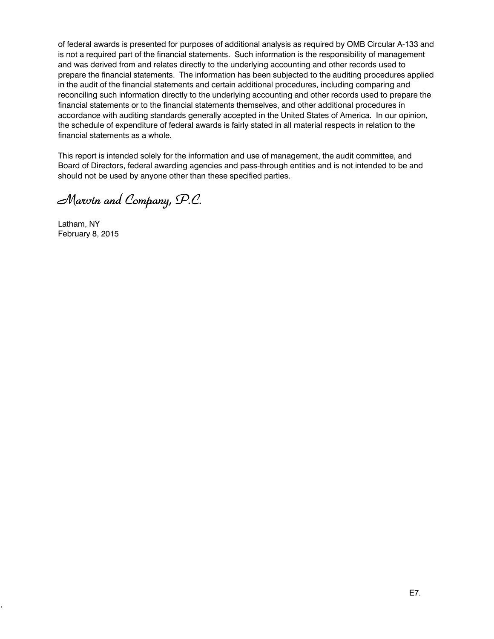of federal awards is presented for purposes of additional analysis as required by OMB Circular A-133 and is not a required part of the financial statements. Such information is the responsibility of management and was derived from and relates directly to the underlying accounting and other records used to prepare the financial statements. The information has been subjected to the auditing procedures applied in the audit of the financial statements and certain additional procedures, including comparing and reconciling such information directly to the underlying accounting and other records used to prepare the financial statements or to the financial statements themselves, and other additional procedures in accordance with auditing standards generally accepted in the United States of America. In our opinion, the schedule of expenditure of federal awards is fairly stated in all material respects in relation to the financial statements as a whole.

This report is intended solely for the information and use of management, the audit committee, and Board of Directors, federal awarding agencies and pass-through entities and is not intended to be and should not be used by anyone other than these specified parties.

Marvin and Company, P.C.

Latham, NY February 8, 2015

.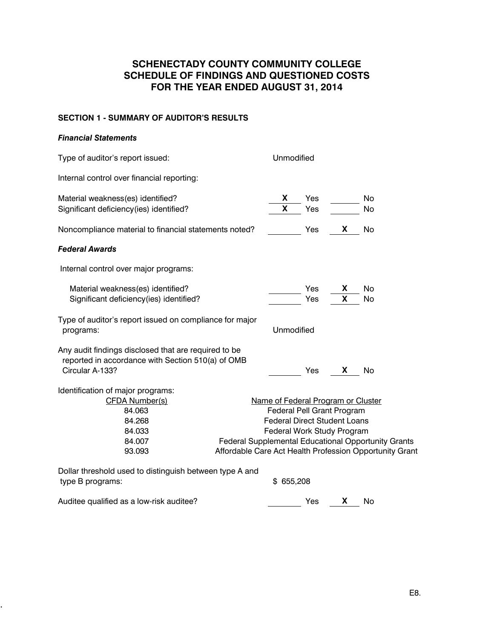# **SCHENECTADY COUNTY COMMUNITY COLLEGE SCHEDULE OF FINDINGS AND QUESTIONED COSTS FOR THE YEAR ENDED AUGUST 31, 2014**

### **SECTION 1 - SUMMARY OF AUDITOR'S RESULTS**

#### *Financial Statements*

.

| Type of auditor's report issued:                                                                          | Unmodified                          |     |   |                                                         |
|-----------------------------------------------------------------------------------------------------------|-------------------------------------|-----|---|---------------------------------------------------------|
| Internal control over financial reporting:                                                                |                                     |     |   |                                                         |
| Material weakness(es) identified?                                                                         | X                                   | Yes |   | <b>No</b>                                               |
| Significant deficiency(ies) identified?                                                                   | X                                   | Yes |   | No                                                      |
| Noncompliance material to financial statements noted?                                                     |                                     | Yes | X | No                                                      |
| <b>Federal Awards</b>                                                                                     |                                     |     |   |                                                         |
| Internal control over major programs:                                                                     |                                     |     |   |                                                         |
| Material weakness(es) identified?                                                                         |                                     | Yes | X | No                                                      |
| Significant deficiency(ies) identified?                                                                   |                                     | Yes | X | No                                                      |
| Type of auditor's report issued on compliance for major<br>programs:                                      | Unmodified                          |     |   |                                                         |
| Any audit findings disclosed that are required to be<br>reported in accordance with Section 510(a) of OMB |                                     |     |   |                                                         |
| Circular A-133?                                                                                           |                                     | Yes | X | No                                                      |
| Identification of major programs:                                                                         |                                     |     |   |                                                         |
| CFDA Number(s)                                                                                            | Name of Federal Program or Cluster  |     |   |                                                         |
| 84.063                                                                                                    | Federal Pell Grant Program          |     |   |                                                         |
| 84.268                                                                                                    | <b>Federal Direct Student Loans</b> |     |   |                                                         |
| 84.033                                                                                                    | Federal Work Study Program          |     |   |                                                         |
| 84.007                                                                                                    |                                     |     |   | Federal Supplemental Educational Opportunity Grants     |
| 93.093                                                                                                    |                                     |     |   | Affordable Care Act Health Profession Opportunity Grant |
| Dollar threshold used to distinguish between type A and                                                   |                                     |     |   |                                                         |
| type B programs:                                                                                          | \$655,208                           |     |   |                                                         |
| Auditee qualified as a low-risk auditee?                                                                  |                                     | Yes | X | No                                                      |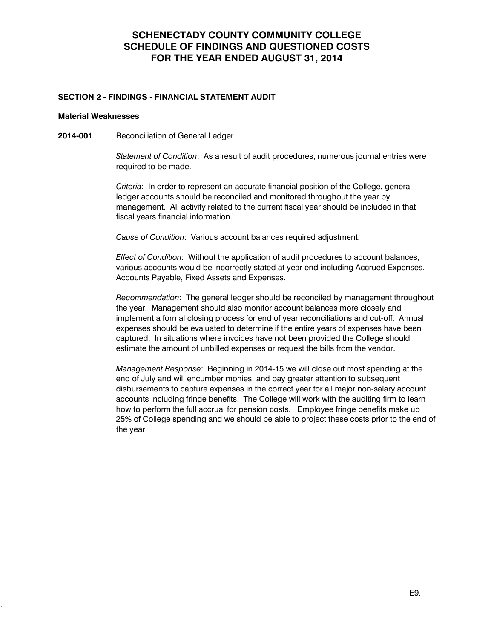## **SCHENECTADY COUNTY COMMUNITY COLLEGE SCHEDULE OF FINDINGS AND QUESTIONED COSTS FOR THE YEAR ENDED AUGUST 31, 2014**

### **SECTION 2 - FINDINGS - FINANCIAL STATEMENT AUDIT**

#### **Material Weaknesses**

.

### **2014-001** Reconciliation of General Ledger

*Statement of Condition*: As a result of audit procedures, numerous journal entries were required to be made.

*Criteria*: In order to represent an accurate financial position of the College, general ledger accounts should be reconciled and monitored throughout the year by management. All activity related to the current fiscal year should be included in that fiscal years financial information.

*Cause of Condition*: Various account balances required adjustment.

*Effect of Condition*: Without the application of audit procedures to account balances, various accounts would be incorrectly stated at year end including Accrued Expenses, Accounts Payable, Fixed Assets and Expenses.

*Recommendation*: The general ledger should be reconciled by management throughout the year. Management should also monitor account balances more closely and implement a formal closing process for end of year reconciliations and cut-off. Annual expenses should be evaluated to determine if the entire years of expenses have been captured. In situations where invoices have not been provided the College should estimate the amount of unbilled expenses or request the bills from the vendor.

*Management Response*: Beginning in 2014-15 we will close out most spending at the end of July and will encumber monies, and pay greater attention to subsequent disbursements to capture expenses in the correct year for all major non-salary account accounts including fringe benefits. The College will work with the auditing firm to learn how to perform the full accrual for pension costs. Employee fringe benefits make up 25% of College spending and we should be able to project these costs prior to the end of the year.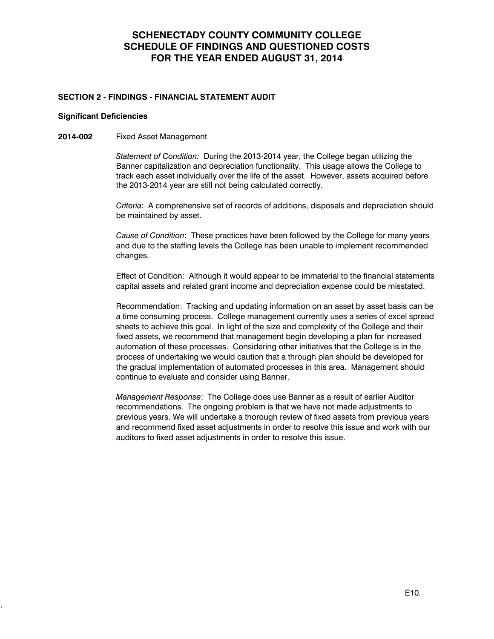## **SCHENECTADY COUNTY COMMUNITY COLLEGE SCHEDULE OF FINDINGS AND QUESTIONED COSTS FOR THE YEAR ENDED AUGUST 31, 2014**

#### **SECTION 2 - FINDINGS - FINANCIAL STATEMENT AUDIT**

#### **Significant Deficiencies**

.

#### **2014-002** Fixed Asset Management

*Statement of Condition:* During the 2013-2014 year, the College began utilizing the Banner capitalization and depreciation functionality. This usage allows the College to track each asset individually over the life of the asset. However, assets acquired before the 2013-2014 year are still not being calculated correctly.

*Criteria*: A comprehensive set of records of additions, disposals and depreciation should be maintained by asset.

*Cause of Condition*: These practices have been followed by the College for many years and due to the staffing levels the College has been unable to implement recommended changes.

Effect of Condition: Although it would appear to be immaterial to the financial statements capital assets and related grant income and depreciation expense could be misstated.

Recommendation: Tracking and updating information on an asset by asset basis can be a time consuming process. College management currently uses a series of excel spread sheets to achieve this goal. In light of the size and complexity of the College and their fixed assets, we recommend that management begin developing a plan for increased automation of these processes. Considering other initiatives that the College is in the process of undertaking we would caution that a through plan should be developed for the gradual implementation of automated processes in this area. Management should continue to evaluate and consider using Banner.

*Management Response*: The College does use Banner as a result of earlier Auditor recommendations. The ongoing problem is that we have not made adjustments to previous years. We will undertake a thorough review of fixed assets from previous years and recommend fixed asset adjustments in order to resolve this issue and work with our auditors to fixed asset adjustments in order to resolve this issue.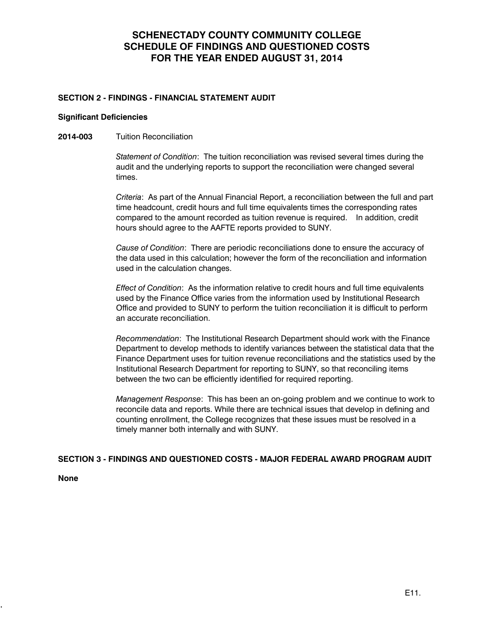## **SCHENECTADY COUNTY COMMUNITY COLLEGE SCHEDULE OF FINDINGS AND QUESTIONED COSTS FOR THE YEAR ENDED AUGUST 31, 2014**

## **SECTION 2 - FINDINGS - FINANCIAL STATEMENT AUDIT**

#### **Significant Deficiencies**

#### **2014-003** Tuition Reconciliation

*Statement of Condition*: The tuition reconciliation was revised several times during the audit and the underlying reports to support the reconciliation were changed several times.

*Criteria*: As part of the Annual Financial Report, a reconciliation between the full and part time headcount, credit hours and full time equivalents times the corresponding rates compared to the amount recorded as tuition revenue is required. In addition, credit hours should agree to the AAFTE reports provided to SUNY.

*Cause of Condition*: There are periodic reconciliations done to ensure the accuracy of the data used in this calculation; however the form of the reconciliation and information used in the calculation changes.

*Effect of Condition*: As the information relative to credit hours and full time equivalents used by the Finance Office varies from the information used by Institutional Research Office and provided to SUNY to perform the tuition reconciliation it is difficult to perform an accurate reconciliation.

*Recommendation*: The Institutional Research Department should work with the Finance Department to develop methods to identify variances between the statistical data that the Finance Department uses for tuition revenue reconciliations and the statistics used by the Institutional Research Department for reporting to SUNY, so that reconciling items between the two can be efficiently identified for required reporting.

*Management Response*: This has been an on-going problem and we continue to work to reconcile data and reports. While there are technical issues that develop in defining and counting enrollment, the College recognizes that these issues must be resolved in a timely manner both internally and with SUNY.

### **SECTION 3 - FINDINGS AND QUESTIONED COSTS - MAJOR FEDERAL AWARD PROGRAM AUDIT**

**None**

.